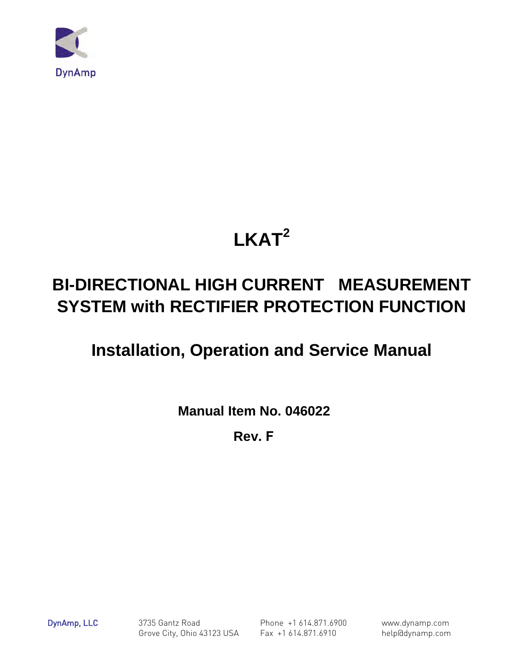

# **LKAT<sup>2</sup>**

## **BI-DIRECTIONAL HIGH CURRENT MEASUREMENT SYSTEM with RECTIFIER PROTECTION FUNCTION**

## **Installation, Operation and Service Manual**

**Manual Item No. 046022** 

**Rev. F**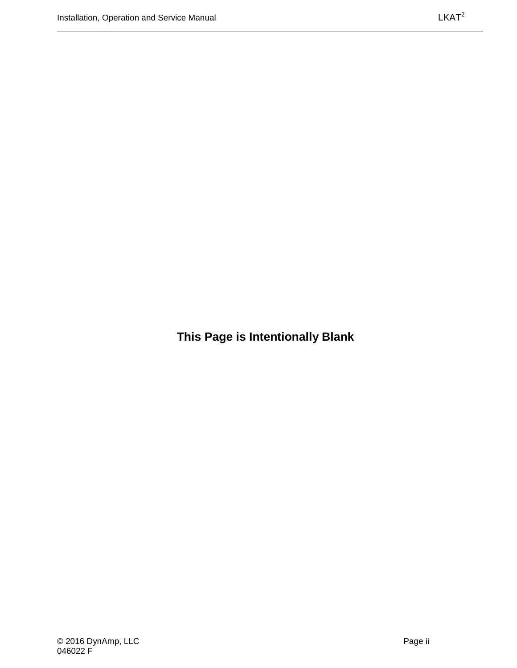**This Page is Intentionally Blank**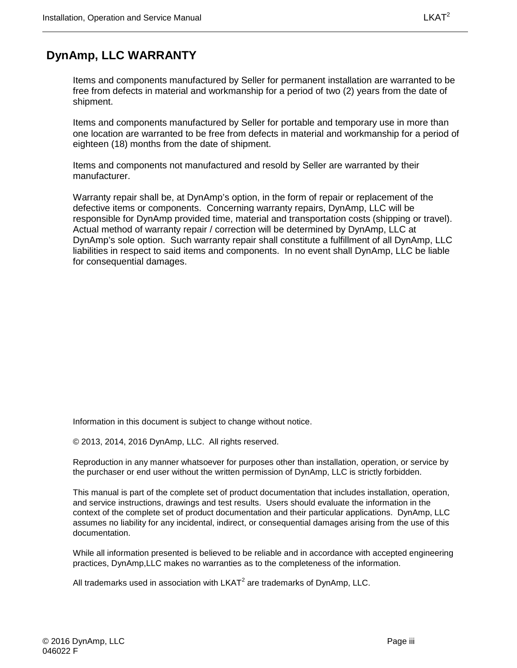## **DynAmp, LLC WARRANTY**

Items and components manufactured by Seller for permanent installation are warranted to be free from defects in material and workmanship for a period of two (2) years from the date of shipment.

Items and components manufactured by Seller for portable and temporary use in more than one location are warranted to be free from defects in material and workmanship for a period of eighteen (18) months from the date of shipment.

Items and components not manufactured and resold by Seller are warranted by their manufacturer.

Warranty repair shall be, at DynAmp's option, in the form of repair or replacement of the defective items or components. Concerning warranty repairs, DynAmp, LLC will be responsible for DynAmp provided time, material and transportation costs (shipping or travel). Actual method of warranty repair / correction will be determined by DynAmp, LLC at DynAmp's sole option. Such warranty repair shall constitute a fulfillment of all DynAmp, LLC liabilities in respect to said items and components. In no event shall DynAmp, LLC be liable for consequential damages.

Information in this document is subject to change without notice.

© 2013, 2014, 2016 DynAmp, LLC. All rights reserved.

Reproduction in any manner whatsoever for purposes other than installation, operation, or service by the purchaser or end user without the written permission of DynAmp, LLC is strictly forbidden.

This manual is part of the complete set of product documentation that includes installation, operation, and service instructions, drawings and test results. Users should evaluate the information in the context of the complete set of product documentation and their particular applications. DynAmp, LLC assumes no liability for any incidental, indirect, or consequential damages arising from the use of this documentation.

While all information presented is believed to be reliable and in accordance with accepted engineering practices, DynAmp,LLC makes no warranties as to the completeness of the information.

All trademarks used in association with LKAT $2$  are trademarks of DynAmp, LLC.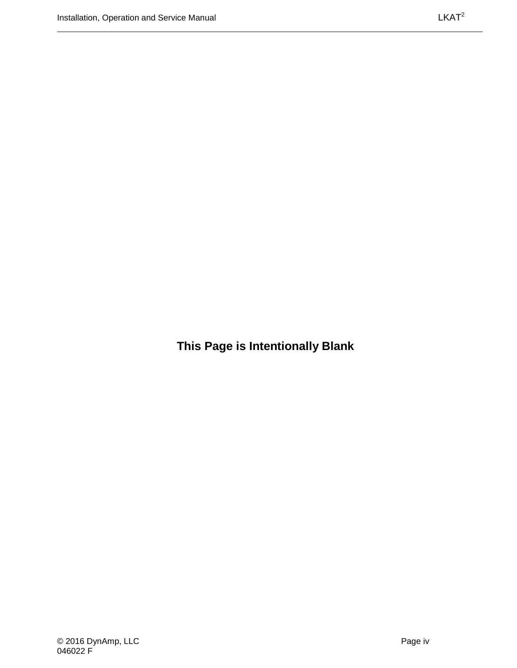**This Page is Intentionally Blank**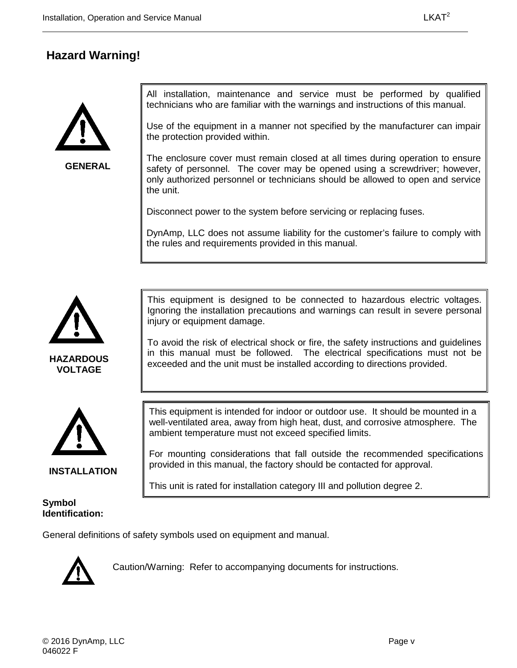

**GENERAL**

All installation, maintenance and service must be performed by qualified technicians who are familiar with the warnings and instructions of this manual.

Use of the equipment in a manner not specified by the manufacturer can impair the protection provided within.

The enclosure cover must remain closed at all times during operation to ensure safety of personnel. The cover may be opened using a screwdriver; however, only authorized personnel or technicians should be allowed to open and service the unit.

Disconnect power to the system before servicing or replacing fuses.

DynAmp, LLC does not assume liability for the customer's failure to comply with the rules and requirements provided in this manual.





**INSTALLATION**

#### **Symbol Identification:**

This equipment is designed to be connected to hazardous electric voltages. Ignoring the installation precautions and warnings can result in severe personal injury or equipment damage.

To avoid the risk of electrical shock or fire, the safety instructions and guidelines in this manual must be followed. The electrical specifications must not be exceeded and the unit must be installed according to directions provided.

This equipment is intended for indoor or outdoor use. It should be mounted in a well-ventilated area, away from high heat, dust, and corrosive atmosphere. The ambient temperature must not exceed specified limits.

For mounting considerations that fall outside the recommended specifications provided in this manual, the factory should be contacted for approval.

This unit is rated for installation category III and pollution degree 2.

General definitions of safety symbols used on equipment and manual.



Caution/Warning: Refer to accompanying documents for instructions.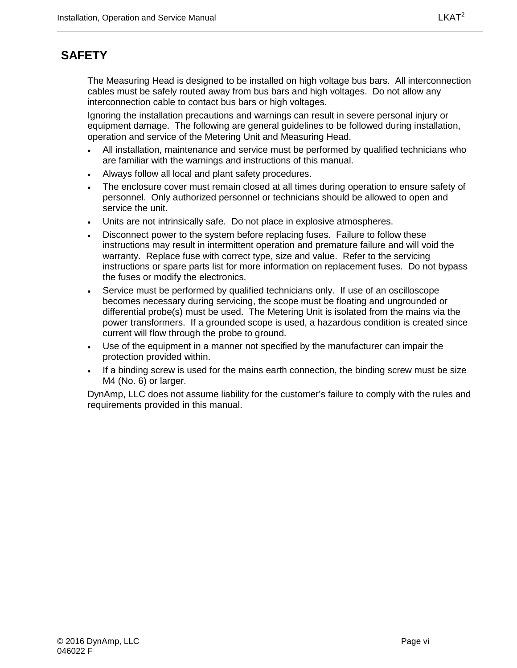## **SAFETY**

The Measuring Head is designed to be installed on high voltage bus bars. All interconnection cables must be safely routed away from bus bars and high voltages. Do not allow any interconnection cable to contact bus bars or high voltages.

Ignoring the installation precautions and warnings can result in severe personal injury or equipment damage. The following are general guidelines to be followed during installation, operation and service of the Metering Unit and Measuring Head.

- All installation, maintenance and service must be performed by qualified technicians who are familiar with the warnings and instructions of this manual.
- Always follow all local and plant safety procedures.
- The enclosure cover must remain closed at all times during operation to ensure safety of personnel. Only authorized personnel or technicians should be allowed to open and service the unit.
- Units are not intrinsically safe. Do not place in explosive atmospheres.
- Disconnect power to the system before replacing fuses. Failure to follow these instructions may result in intermittent operation and premature failure and will void the warranty. Replace fuse with correct type, size and value. Refer to the servicing instructions or spare parts list for more information on replacement fuses. Do not bypass the fuses or modify the electronics.
- Service must be performed by qualified technicians only. If use of an oscilloscope becomes necessary during servicing, the scope must be floating and ungrounded or differential probe(s) must be used. The Metering Unit is isolated from the mains via the power transformers. If a grounded scope is used, a hazardous condition is created since current will flow through the probe to ground.
- Use of the equipment in a manner not specified by the manufacturer can impair the protection provided within.
- If a binding screw is used for the mains earth connection, the binding screw must be size M4 (No. 6) or larger.

DynAmp, LLC does not assume liability for the customer's failure to comply with the rules and requirements provided in this manual.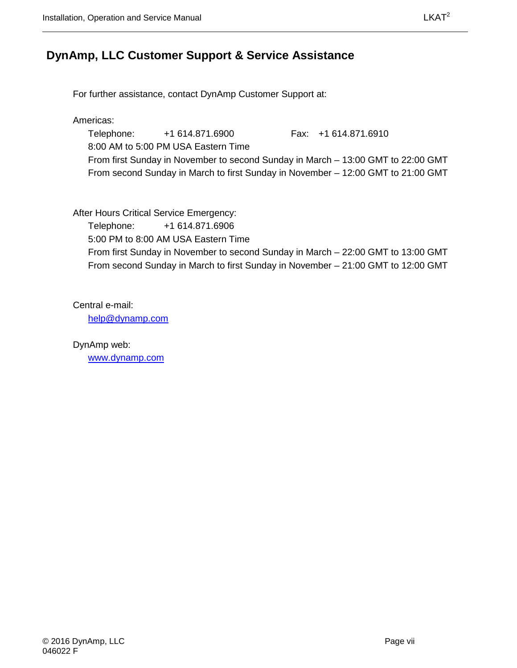## **DynAmp, LLC Customer Support & Service Assistance**

For further assistance, contact DynAmp Customer Support at:

Americas:

Telephone: +1 614.871.6900 Fax: +1 614.871.6910 8:00 AM to 5:00 PM USA Eastern Time From first Sunday in November to second Sunday in March – 13:00 GMT to 22:00 GMT From second Sunday in March to first Sunday in November – 12:00 GMT to 21:00 GMT

After Hours Critical Service Emergency:

Telephone: +1 614.871.6906

5:00 PM to 8:00 AM USA Eastern Time

From first Sunday in November to second Sunday in March – 22:00 GMT to 13:00 GMT From second Sunday in March to first Sunday in November – 21:00 GMT to 12:00 GMT

Central e-mail:

[help@dynamp.com](mailto:help@dynamp.com)

DynAmp web: [www.dynamp.com](http://www.dynamp.com/)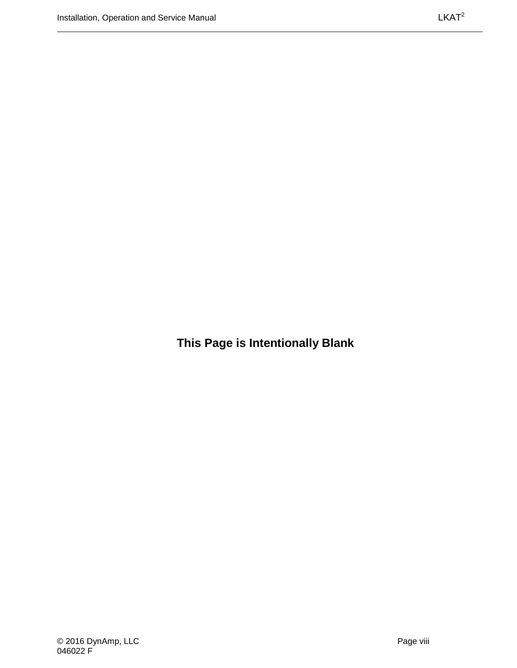**This Page is Intentionally Blank**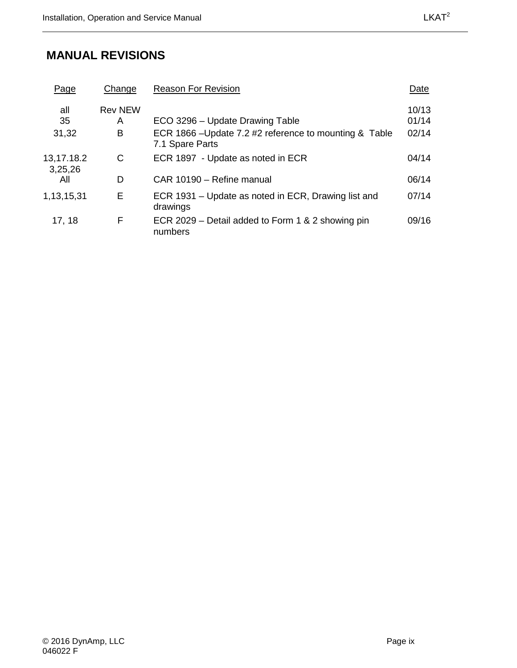## **MANUAL REVISIONS**

| Page                  | Change              | <b>Reason For Revision</b>                                      | Date           |
|-----------------------|---------------------|-----------------------------------------------------------------|----------------|
| all<br>35             | <b>Rev NEW</b><br>A | ECO 3296 - Update Drawing Table                                 | 10/13<br>01/14 |
| 31,32                 | в                   | ECR 1866 - Update 7.2 #2 reference to mounting & Table          | 02/14          |
|                       |                     | 7.1 Spare Parts                                                 |                |
| 13,17.18.2<br>3,25,26 | C                   | ECR 1897 - Update as noted in ECR                               | 04/14          |
| All                   | D                   | CAR 10190 - Refine manual                                       | 06/14          |
| 1, 13, 15, 31         | E                   | ECR 1931 – Update as noted in ECR, Drawing list and<br>drawings | 07/14          |
| 17, 18                | F                   | ECR 2029 - Detail added to Form 1 & 2 showing pin<br>numbers    | 09/16          |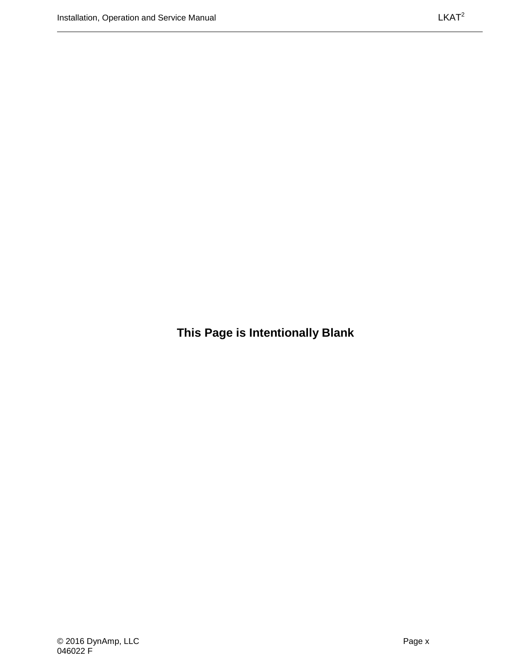**This Page is Intentionally Blank**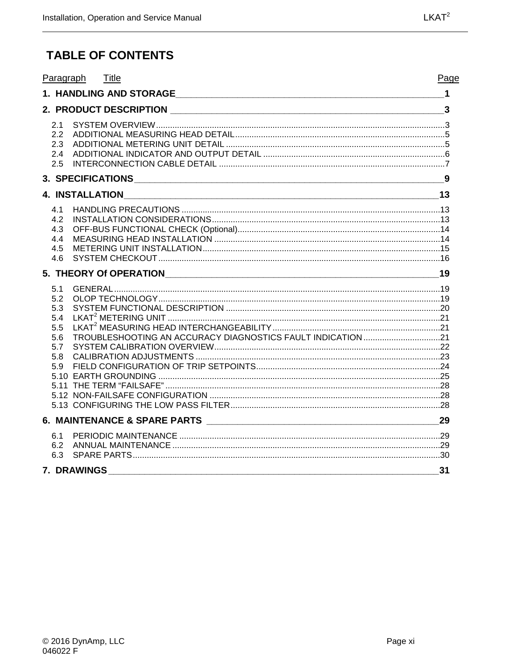## **TABLE OF CONTENTS**

| Paragraph  | Title | Page           |
|------------|-------|----------------|
|            |       |                |
|            |       | $\overline{3}$ |
| 2.1        |       |                |
| 2.2        |       |                |
| 2.3        |       |                |
| 2.4        |       |                |
| 2.5        |       |                |
|            |       |                |
|            |       |                |
| 4.1        |       |                |
| 4.2        |       |                |
| 4.3        |       |                |
| 4.4        |       |                |
| 4.5        |       |                |
| 4.6        |       |                |
|            |       |                |
| 5.1        |       |                |
| 5.2        |       |                |
| 5.3        |       |                |
| 5.4        |       |                |
| 5.5<br>5.6 |       |                |
| 5.7        |       |                |
| 5.8        |       |                |
| 5.9        |       |                |
|            |       |                |
|            |       |                |
|            |       |                |
|            |       |                |
|            |       |                |
| 6.1        |       |                |
| 6.2        |       |                |
| 6.3        |       |                |
|            |       | 31             |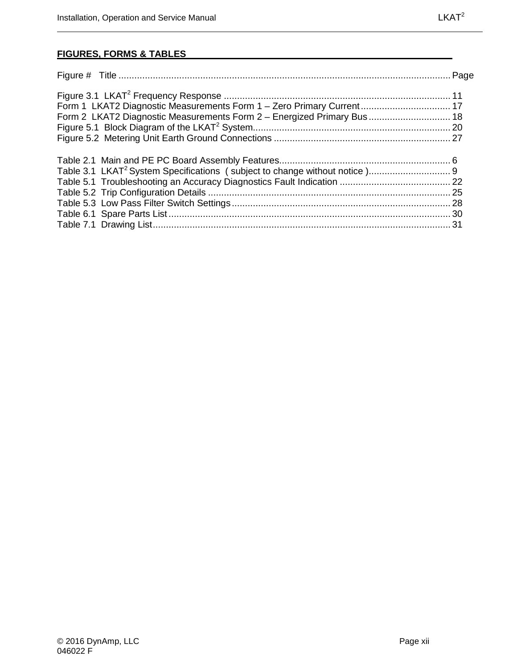#### **FIGURES, FORMS & TABLES**

| Form 1 LKAT2 Diagnostic Measurements Form 1 - Zero Primary Current 17   |  |
|-------------------------------------------------------------------------|--|
| Form 2 LKAT2 Diagnostic Measurements Form 2 - Energized Primary Bus  18 |  |
|                                                                         |  |
|                                                                         |  |
|                                                                         |  |
|                                                                         |  |
|                                                                         |  |
|                                                                         |  |
|                                                                         |  |
|                                                                         |  |
|                                                                         |  |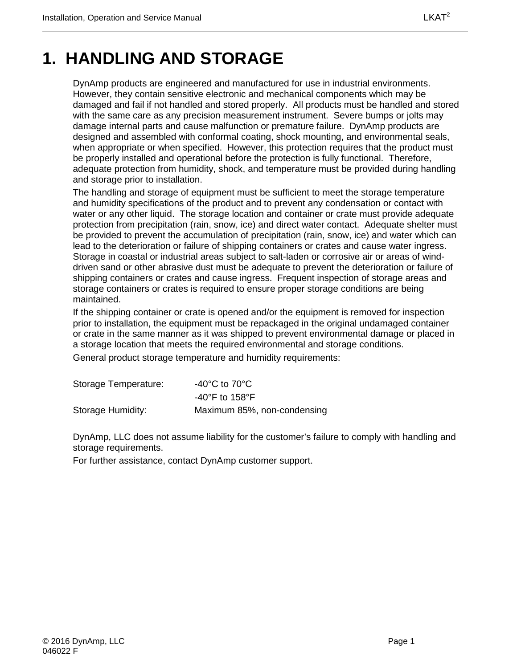## **1. HANDLING AND STORAGE**

DynAmp products are engineered and manufactured for use in industrial environments. However, they contain sensitive electronic and mechanical components which may be damaged and fail if not handled and stored properly. All products must be handled and stored with the same care as any precision measurement instrument. Severe bumps or jolts may damage internal parts and cause malfunction or premature failure. DynAmp products are designed and assembled with conformal coating, shock mounting, and environmental seals, when appropriate or when specified. However, this protection requires that the product must be properly installed and operational before the protection is fully functional. Therefore, adequate protection from humidity, shock, and temperature must be provided during handling and storage prior to installation.

The handling and storage of equipment must be sufficient to meet the storage temperature and humidity specifications of the product and to prevent any condensation or contact with water or any other liquid. The storage location and container or crate must provide adequate protection from precipitation (rain, snow, ice) and direct water contact. Adequate shelter must be provided to prevent the accumulation of precipitation (rain, snow, ice) and water which can lead to the deterioration or failure of shipping containers or crates and cause water ingress. Storage in coastal or industrial areas subject to salt-laden or corrosive air or areas of winddriven sand or other abrasive dust must be adequate to prevent the deterioration or failure of shipping containers or crates and cause ingress. Frequent inspection of storage areas and storage containers or crates is required to ensure proper storage conditions are being maintained.

If the shipping container or crate is opened and/or the equipment is removed for inspection prior to installation, the equipment must be repackaged in the original undamaged container or crate in the same manner as it was shipped to prevent environmental damage or placed in a storage location that meets the required environmental and storage conditions.

General product storage temperature and humidity requirements:

| Storage Temperature: | -40°C to 70°C.                      |
|----------------------|-------------------------------------|
|                      | $-40^{\circ}$ F to 158 $^{\circ}$ F |
| Storage Humidity:    | Maximum 85%, non-condensing         |

DynAmp, LLC does not assume liability for the customer's failure to comply with handling and storage requirements.

For further assistance, contact DynAmp customer support.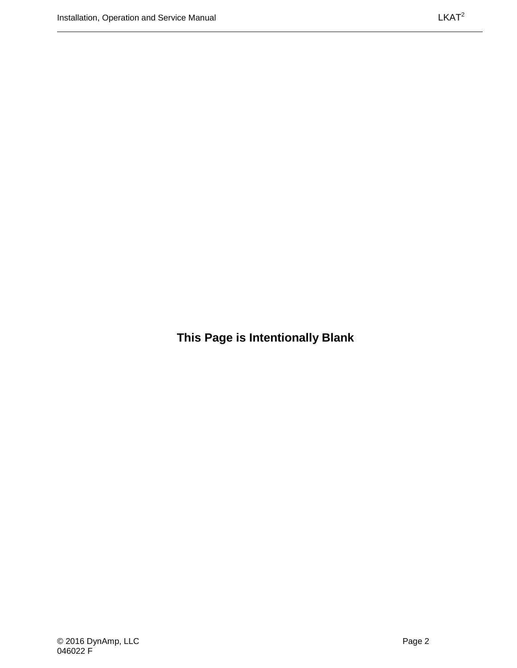**This Page is Intentionally Blank**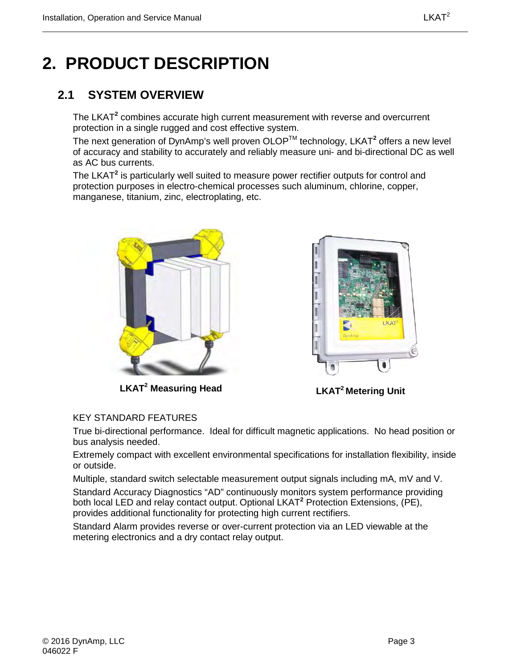## <span id="page-14-0"></span>**2. PRODUCT DESCRIPTION**

## <span id="page-14-1"></span>**2.1 SYSTEM OVERVIEW**

The LKAT**<sup>2</sup>** combines accurate high current measurement with reverse and overcurrent protection in a single rugged and cost effective system.

The next generation of DynAmp's well proven OLOP<sup>™</sup> technology, LKAT<sup>2</sup> offers a new level of accuracy and stability to accurately and reliably measure uni- and bi-directional DC as well as AC bus currents.

The LKAT**<sup>2</sup>** is particularly well suited to measure power rectifier outputs for control and protection purposes in electro-chemical processes such aluminum, chlorine, copper, manganese, titanium, zinc, electroplating, etc.



 **LKAT2 Measuring Head**



**LKAT2 Metering Unit**

#### KEY STANDARD FEATURES

True bi-directional performance. Ideal for difficult magnetic applications. No head position or bus analysis needed.

Extremely compact with excellent environmental specifications for installation flexibility, inside or outside.

Multiple, standard switch selectable measurement output signals including mA, mV and V.

Standard Accuracy Diagnostics "AD" continuously monitors system performance providing both local LED and relay contact output. Optional LKAT**<sup>2</sup>** Protection Extensions, (PE), provides additional functionality for protecting high current rectifiers.

Standard Alarm provides reverse or over-current protection via an LED viewable at the metering electronics and a dry contact relay output.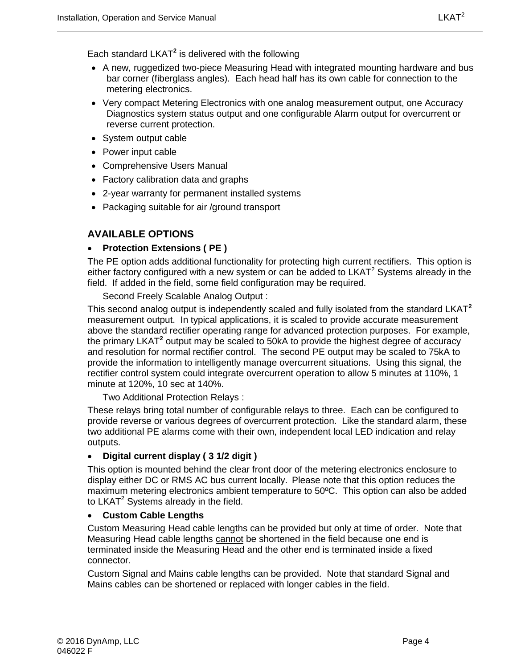Each standard LKAT**<sup>2</sup>** is delivered with the following

- A new, ruggedized two-piece Measuring Head with integrated mounting hardware and bus bar corner (fiberglass angles). Each head half has its own cable for connection to the metering electronics.
- Very compact Metering Electronics with one analog measurement output, one Accuracy Diagnostics system status output and one configurable Alarm output for overcurrent or reverse current protection.
- System output cable
- Power input cable
- Comprehensive Users Manual
- Factory calibration data and graphs
- 2-year warranty for permanent installed systems
- Packaging suitable for air /ground transport

#### **AVAILABLE OPTIONS**

#### • **Protection Extensions ( PE )**

The PE option adds additional functionality for protecting high current rectifiers. This option is either factory configured with a new system or can be added to LKAT<sup>2</sup> Systems already in the field. If added in the field, some field configuration may be required.

Second Freely Scalable Analog Output :

This second analog output is independently scaled and fully isolated from the standard LKAT**<sup>2</sup>** measurement output. In typical applications, it is scaled to provide accurate measurement above the standard rectifier operating range for advanced protection purposes. For example, the primary LKAT**<sup>2</sup>** output may be scaled to 50kA to provide the highest degree of accuracy and resolution for normal rectifier control. The second PE output may be scaled to 75kA to provide the information to intelligently manage overcurrent situations. Using this signal, the rectifier control system could integrate overcurrent operation to allow 5 minutes at 110%, 1 minute at 120%, 10 sec at 140%.

Two Additional Protection Relays :

These relays bring total number of configurable relays to three. Each can be configured to provide reverse or various degrees of overcurrent protection. Like the standard alarm, these two additional PE alarms come with their own, independent local LED indication and relay outputs.

#### • **Digital current display ( 3 1/2 digit )**

This option is mounted behind the clear front door of the metering electronics enclosure to display either DC or RMS AC bus current locally. Please note that this option reduces the maximum metering electronics ambient temperature to 50ºC. This option can also be added to LKAT<sup>2</sup> Systems already in the field.

#### • **Custom Cable Lengths**

Custom Measuring Head cable lengths can be provided but only at time of order. Note that Measuring Head cable lengths cannot be shortened in the field because one end is terminated inside the Measuring Head and the other end is terminated inside a fixed connector.

Custom Signal and Mains cable lengths can be provided. Note that standard Signal and Mains cables can be shortened or replaced with longer cables in the field.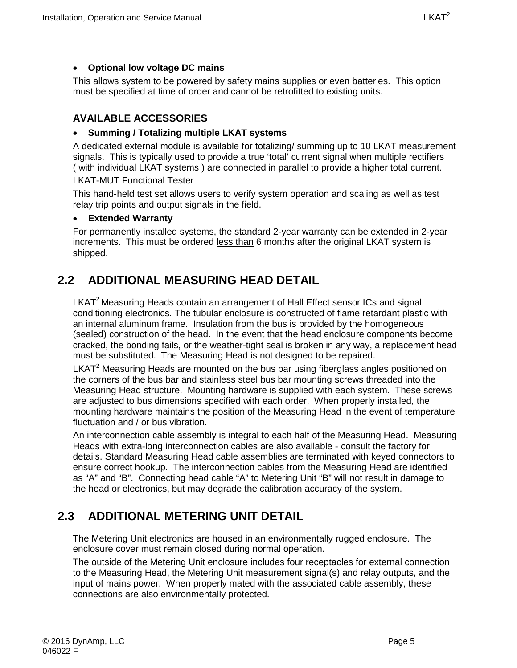#### • **Optional low voltage DC mains**

This allows system to be powered by safety mains supplies or even batteries. This option must be specified at time of order and cannot be retrofitted to existing units.

#### **AVAILABLE ACCESSORIES**

#### • **Summing / Totalizing multiple LKAT systems**

A dedicated external module is available for totalizing/ summing up to 10 LKAT measurement signals. This is typically used to provide a true 'total' current signal when multiple rectifiers ( with individual LKAT systems ) are connected in parallel to provide a higher total current.

#### LKAT-MUT Functional Tester

This hand-held test set allows users to verify system operation and scaling as well as test relay trip points and output signals in the field.

#### • **Extended Warranty**

For permanently installed systems, the standard 2-year warranty can be extended in 2-year increments. This must be ordered less than 6 months after the original LKAT system is shipped.

### <span id="page-16-0"></span>**2.2 ADDITIONAL MEASURING HEAD DETAIL**

LKAT<sup>2</sup> Measuring Heads contain an arrangement of Hall Effect sensor ICs and signal conditioning electronics. The tubular enclosure is constructed of flame retardant plastic with an internal aluminum frame. Insulation from the bus is provided by the homogeneous (sealed) construction of the head. In the event that the head enclosure components become cracked, the bonding fails, or the weather-tight seal is broken in any way, a replacement head must be substituted. The Measuring Head is not designed to be repaired.

LKAT<sup>2</sup> Measuring Heads are mounted on the bus bar using fiberglass angles positioned on the corners of the bus bar and stainless steel bus bar mounting screws threaded into the Measuring Head structure. Mounting hardware is supplied with each system. These screws are adjusted to bus dimensions specified with each order. When properly installed, the mounting hardware maintains the position of the Measuring Head in the event of temperature fluctuation and / or bus vibration.

An interconnection cable assembly is integral to each half of the Measuring Head. Measuring Heads with extra-long interconnection cables are also available - consult the factory for details. Standard Measuring Head cable assemblies are terminated with keyed connectors to ensure correct hookup. The interconnection cables from the Measuring Head are identified as "A" and "B". Connecting head cable "A" to Metering Unit "B" will not result in damage to the head or electronics, but may degrade the calibration accuracy of the system.

## <span id="page-16-1"></span>**2.3 ADDITIONAL METERING UNIT DETAIL**

The Metering Unit electronics are housed in an environmentally rugged enclosure. The enclosure cover must remain closed during normal operation.

The outside of the Metering Unit enclosure includes four receptacles for external connection to the Measuring Head, the Metering Unit measurement signal(s) and relay outputs, and the input of mains power. When properly mated with the associated cable assembly, these connections are also environmentally protected.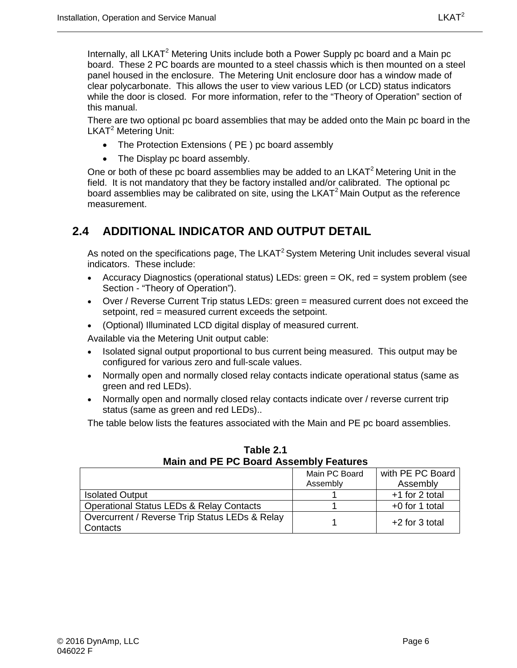Internally, all LKAT<sup>2</sup> Metering Units include both a Power Supply pc board and a Main pc board. These 2 PC boards are mounted to a steel chassis which is then mounted on a steel panel housed in the enclosure. The Metering Unit enclosure door has a window made of clear polycarbonate. This allows the user to view various LED (or LCD) status indicators while the door is closed. For more information, refer to the "Theory of Operation" section of this manual.

There are two optional pc board assemblies that may be added onto the Main pc board in the LKAT<sup>2</sup> Metering Unit:

- The Protection Extensions ( PE ) pc board assembly
- The Display pc board assembly.

One or both of these pc board assemblies may be added to an LKAT<sup>2</sup> Metering Unit in the field. It is not mandatory that they be factory installed and/or calibrated. The optional pc board assemblies may be calibrated on site, using the LKAT<sup>2</sup> Main Output as the reference measurement.

## <span id="page-17-0"></span>**2.4 ADDITIONAL INDICATOR AND OUTPUT DETAIL**

As noted on the specifications page, The LKAT<sup>2</sup> System Metering Unit includes several visual indicators. These include:

- Accuracy Diagnostics (operational status) LEDs: green = OK, red = system problem (see Section - "Theory of Operation").
- Over / Reverse Current Trip status LEDs: green = measured current does not exceed the setpoint, red = measured current exceeds the setpoint.
- (Optional) Illuminated LCD digital display of measured current.

Available via the Metering Unit output cable:

- Isolated signal output proportional to bus current being measured. This output may be configured for various zero and full-scale values.
- Normally open and normally closed relay contacts indicate operational status (same as green and red LEDs).
- Normally open and normally closed relay contacts indicate over / reverse current trip status (same as green and red LEDs)..

The table below lists the features associated with the Main and PE pc board assemblies.

<span id="page-17-1"></span>

| <b>Mail and <math>\mathsf{r} \mathsf{L} \mathsf{r}</math> &amp; Doard Assembly Features</b> |               |                  |  |  |  |  |
|---------------------------------------------------------------------------------------------|---------------|------------------|--|--|--|--|
|                                                                                             | Main PC Board | with PE PC Board |  |  |  |  |
|                                                                                             | Assembly      | Assembly         |  |  |  |  |
| <b>Isolated Output</b>                                                                      |               | +1 for 2 total   |  |  |  |  |
| <b>Operational Status LEDs &amp; Relay Contacts</b>                                         |               | +0 for 1 total   |  |  |  |  |
| Overcurrent / Reverse Trip Status LEDs & Relay<br>Contacts                                  |               | $+2$ for 3 total |  |  |  |  |

**Table 2.1 Main and PE PC Board Assembly Features**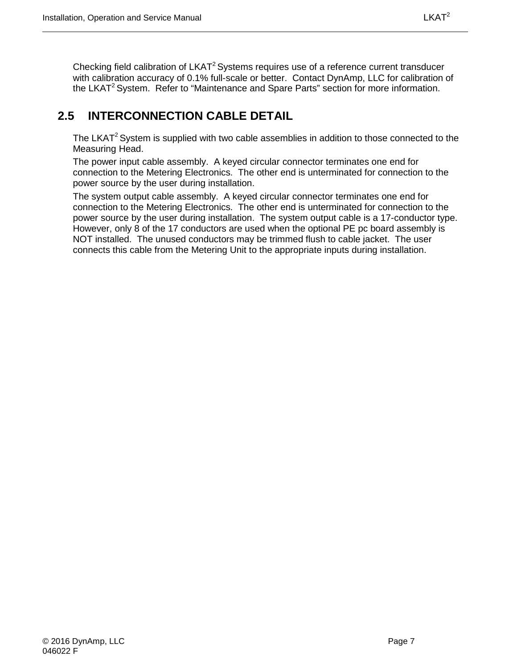Checking field calibration of LKAT<sup>2</sup> Systems requires use of a reference current transducer with calibration accuracy of 0.1% full-scale or better. Contact DynAmp, LLC for calibration of the LKAT<sup>2</sup> System. Refer to "Maintenance and Spare Parts" section for more information.

## <span id="page-18-0"></span>**2.5 INTERCONNECTION CABLE DETAIL**

The LKAT<sup>2</sup> System is supplied with two cable assemblies in addition to those connected to the Measuring Head.

The power input cable assembly. A keyed circular connector terminates one end for connection to the Metering Electronics. The other end is unterminated for connection to the power source by the user during installation.

The system output cable assembly. A keyed circular connector terminates one end for connection to the Metering Electronics. The other end is unterminated for connection to the power source by the user during installation. The system output cable is a 17-conductor type. However, only 8 of the 17 conductors are used when the optional PE pc board assembly is NOT installed. The unused conductors may be trimmed flush to cable jacket. The user connects this cable from the Metering Unit to the appropriate inputs during installation.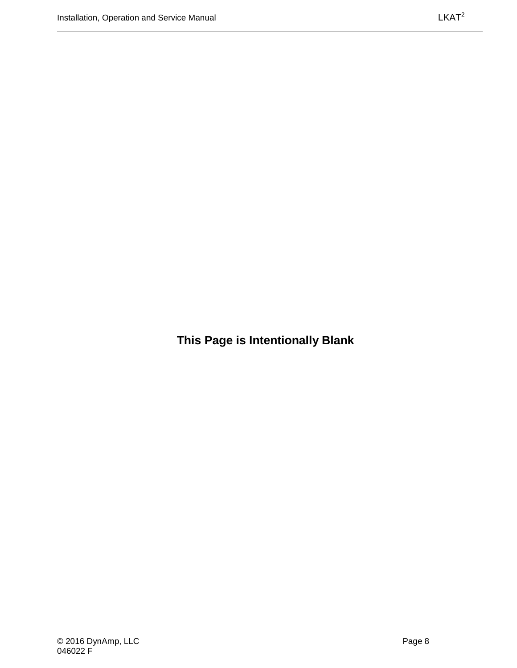**This Page is Intentionally Blank**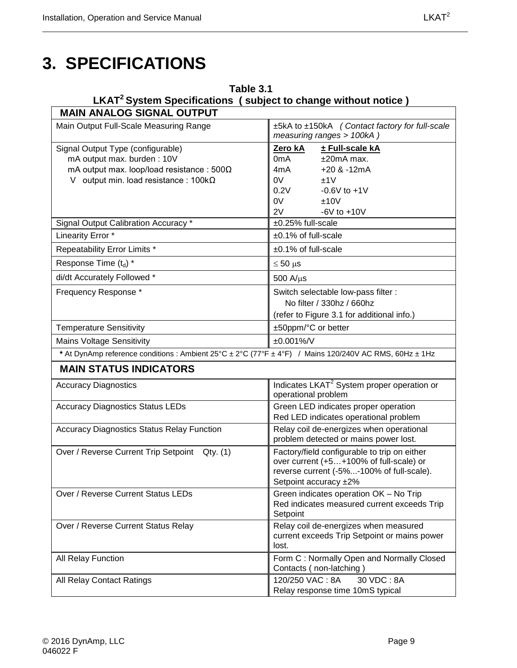## <span id="page-20-0"></span>**3. SPECIFICATIONS**

## **Table 3.1 LKAT2 System Specifications ( subject to change without notice )**

<span id="page-20-1"></span>

| <b>MAIN ANALOG SIGNAL OUTPUT</b>                                                                       |                                                                                                                                                               |  |  |  |
|--------------------------------------------------------------------------------------------------------|---------------------------------------------------------------------------------------------------------------------------------------------------------------|--|--|--|
| Main Output Full-Scale Measuring Range                                                                 | ±5kA to ±150kA (Contact factory for full-scale<br>measuring ranges > 100kA)                                                                                   |  |  |  |
| Signal Output Type (configurable)                                                                      | Zero kA<br>± Full-scale kA                                                                                                                                    |  |  |  |
| mA output max. burden: 10V                                                                             | 0 <sub>m</sub> A<br>$±20mA$ max.                                                                                                                              |  |  |  |
| mA output max. loop/load resistance : $500\Omega$                                                      | $+20$ & -12mA<br>4mA                                                                                                                                          |  |  |  |
| V output min. load resistance: $100k\Omega$                                                            | 0V<br>±1V                                                                                                                                                     |  |  |  |
|                                                                                                        | 0.2V<br>$-0.6V$ to $+1V$                                                                                                                                      |  |  |  |
|                                                                                                        | 0V<br>±10V                                                                                                                                                    |  |  |  |
|                                                                                                        | $-6V$ to $+10V$<br>2V                                                                                                                                         |  |  |  |
| Signal Output Calibration Accuracy *                                                                   | ±0.25% full-scale                                                                                                                                             |  |  |  |
| Linearity Error *                                                                                      | ±0.1% of full-scale                                                                                                                                           |  |  |  |
| Repeatability Error Limits *                                                                           | ±0.1% of full-scale                                                                                                                                           |  |  |  |
| Response Time (t <sub>d</sub> ) *                                                                      | $\leq 50$ µs                                                                                                                                                  |  |  |  |
| di/dt Accurately Followed *                                                                            | 500 A/µs                                                                                                                                                      |  |  |  |
| Frequency Response *                                                                                   | Switch selectable low-pass filter :                                                                                                                           |  |  |  |
|                                                                                                        | No filter / 330hz / 660hz                                                                                                                                     |  |  |  |
|                                                                                                        | (refer to Figure 3.1 for additional info.)                                                                                                                    |  |  |  |
| <b>Temperature Sensitivity</b>                                                                         | ±50ppm/°C or better                                                                                                                                           |  |  |  |
| <b>Mains Voltage Sensitivity</b>                                                                       | ±0.001%/V                                                                                                                                                     |  |  |  |
| * At DynAmp reference conditions : Ambient 25°C ± 2°C (77°F ± 4°F) / Mains 120/240V AC RMS, 60Hz ± 1Hz |                                                                                                                                                               |  |  |  |
| <b>MAIN STATUS INDICATORS</b>                                                                          |                                                                                                                                                               |  |  |  |
| <b>Accuracy Diagnostics</b>                                                                            | Indicates LKAT <sup>2</sup> System proper operation or<br>operational problem                                                                                 |  |  |  |
| <b>Accuracy Diagnostics Status LEDs</b>                                                                | Green LED indicates proper operation<br>Red LED indicates operational problem                                                                                 |  |  |  |
| <b>Accuracy Diagnostics Status Relay Function</b>                                                      | Relay coil de-energizes when operational<br>problem detected or mains power lost.                                                                             |  |  |  |
| Over / Reverse Current Trip Setpoint Qty. (1)                                                          | Factory/field configurable to trip on either<br>over current (+5+100% of full-scale) or<br>reverse current (-5%-100% of full-scale).<br>Setpoint accuracy ±2% |  |  |  |
| Over / Reverse Current Status LEDs                                                                     | Green indicates operation OK - No Trip<br>Red indicates measured current exceeds Trip<br>Setpoint                                                             |  |  |  |
| Over / Reverse Current Status Relay                                                                    | Relay coil de-energizes when measured<br>current exceeds Trip Setpoint or mains power<br>lost.                                                                |  |  |  |
| All Relay Function                                                                                     | Form C: Normally Open and Normally Closed<br>Contacts (non-latching)                                                                                          |  |  |  |
| All Relay Contact Ratings                                                                              | 120/250 VAC: 8A<br>30 VDC: 8A<br>Relay response time 10mS typical                                                                                             |  |  |  |

٦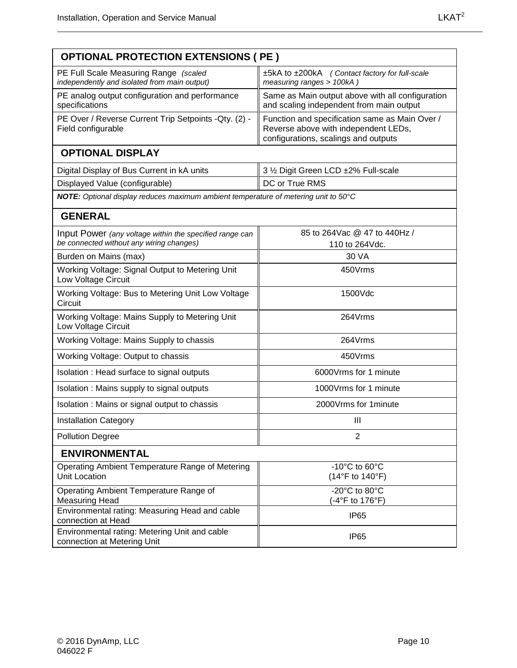| <b>OPTIONAL PROTECTION EXTENSIONS ( PE )</b>                                          |                                                                                                                                |  |  |  |  |
|---------------------------------------------------------------------------------------|--------------------------------------------------------------------------------------------------------------------------------|--|--|--|--|
| PE Full Scale Measuring Range (scaled<br>independently and isolated from main output) | ±5kA to ±200kA (Contact factory for full-scale<br>measuring ranges > 100kA)                                                    |  |  |  |  |
| PE analog output configuration and performance<br>specifications                      | Same as Main output above with all configuration<br>and scaling independent from main output                                   |  |  |  |  |
| PE Over / Reverse Current Trip Setpoints - Qty. (2) -<br>Field configurable           | Function and specification same as Main Over /<br>Reverse above with independent LEDs,<br>configurations, scalings and outputs |  |  |  |  |
| <b>OPTIONAL DISPLAY</b>                                                               |                                                                                                                                |  |  |  |  |
| Digital Display of Bus Current in kA units                                            | 3 1/2 Digit Green LCD ±2% Full-scale                                                                                           |  |  |  |  |
| Displayed Value (configurable)                                                        | DC or True RMS                                                                                                                 |  |  |  |  |
| NOTE: Optional display reduces maximum ambient temperature of metering unit to 50°C   |                                                                                                                                |  |  |  |  |
| <b>GENERAL</b>                                                                        |                                                                                                                                |  |  |  |  |
| Input Power (any voltage within the specified range can                               | 85 to 264 Vac @ 47 to 440 Hz /                                                                                                 |  |  |  |  |
| be connected without any wiring changes)                                              | 110 to 264Vdc.                                                                                                                 |  |  |  |  |
| Burden on Mains (max)                                                                 | 30 VA                                                                                                                          |  |  |  |  |
| Working Voltage: Signal Output to Metering Unit<br>Low Voltage Circuit                | 450Vrms                                                                                                                        |  |  |  |  |
| Working Voltage: Bus to Metering Unit Low Voltage<br>Circuit                          | 1500Vdc                                                                                                                        |  |  |  |  |
| Working Voltage: Mains Supply to Metering Unit<br>Low Voltage Circuit                 | 264Vrms                                                                                                                        |  |  |  |  |
| Working Voltage: Mains Supply to chassis                                              | 264Vrms                                                                                                                        |  |  |  |  |
| Working Voltage: Output to chassis                                                    | 450Vrms                                                                                                                        |  |  |  |  |
| Isolation : Head surface to signal outputs                                            | 6000 Vrms for 1 minute                                                                                                         |  |  |  |  |
| Isolation : Mains supply to signal outputs                                            | 1000Vrms for 1 minute                                                                                                          |  |  |  |  |
| Isolation: Mains or signal output to chassis                                          | 2000Vrms for 1minute                                                                                                           |  |  |  |  |
| <b>Installation Category</b>                                                          | Ш                                                                                                                              |  |  |  |  |
| <b>Pollution Degree</b>                                                               | $\overline{2}$                                                                                                                 |  |  |  |  |
| <b>ENVIRONMENTAL</b>                                                                  |                                                                                                                                |  |  |  |  |
| Operating Ambient Temperature Range of Metering<br>Unit Location                      | -10°C to 60°C<br>(14°F to 140°F)                                                                                               |  |  |  |  |
| Operating Ambient Temperature Range of<br><b>Measuring Head</b>                       | -20 $^{\circ}$ C to 80 $^{\circ}$ C<br>(-4°F to 176°F)                                                                         |  |  |  |  |
| Environmental rating: Measuring Head and cable<br>connection at Head                  | IP <sub>65</sub>                                                                                                               |  |  |  |  |
| Environmental rating: Metering Unit and cable<br>connection at Metering Unit          | IP <sub>65</sub>                                                                                                               |  |  |  |  |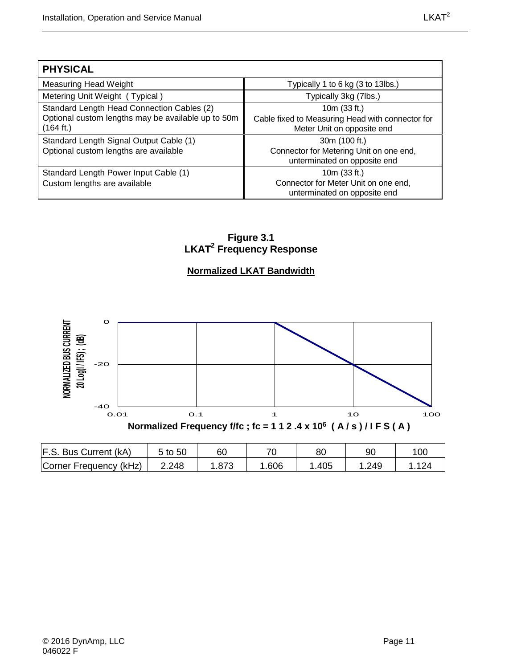| <b>PHYSICAL</b>                                                 |                                                                                |
|-----------------------------------------------------------------|--------------------------------------------------------------------------------|
| <b>Measuring Head Weight</b>                                    | Typically 1 to 6 kg (3 to 13lbs.)                                              |
| Metering Unit Weight (Typical)                                  | Typically 3kg (7lbs.)                                                          |
| Standard Length Head Connection Cables (2)                      | 10 $m(33 ft.)$                                                                 |
| Optional custom lengths may be available up to 50m<br>(164 ft.) | Cable fixed to Measuring Head with connector for<br>Meter Unit on opposite end |
| Standard Length Signal Output Cable (1)                         | 30m (100 ft.)                                                                  |
| Optional custom lengths are available                           | Connector for Metering Unit on one end,<br>unterminated on opposite end        |
| Standard Length Power Input Cable (1)                           | 10m (33 ft.)                                                                   |
| Custom lengths are available                                    | Connector for Meter Unit on one end,<br>unterminated on opposite end           |

**Figure 3.1 LKAT2 Frequency Response**

#### **Normalized LKAT Bandwidth**

<span id="page-22-0"></span>

| F.S. Bus Current (kA)  | 5 to 50 | 60 | 71   | 80   | 90   | l OC |
|------------------------|---------|----|------|------|------|------|
| Corner Frequency (kHz) | 2.248   |    | .606 | .405 | .249 |      |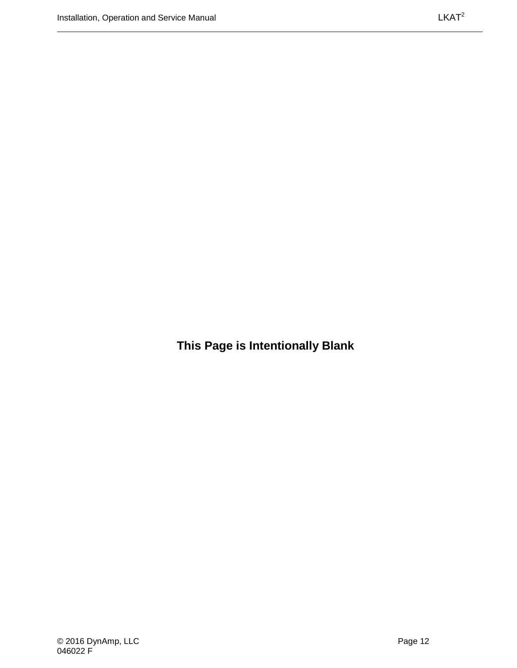**This Page is Intentionally Blank**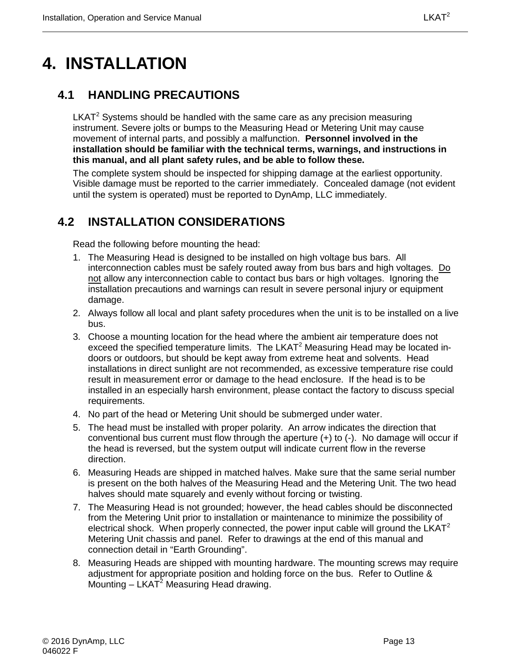## <span id="page-24-0"></span>**4. INSTALLATION**

## <span id="page-24-1"></span>**4.1 HANDLING PRECAUTIONS**

LKAT<sup>2</sup> Systems should be handled with the same care as any precision measuring instrument. Severe jolts or bumps to the Measuring Head or Metering Unit may cause movement of internal parts, and possibly a malfunction. **Personnel involved in the installation should be familiar with the technical terms, warnings, and instructions in this manual, and all plant safety rules, and be able to follow these.**

The complete system should be inspected for shipping damage at the earliest opportunity. Visible damage must be reported to the carrier immediately. Concealed damage (not evident until the system is operated) must be reported to DynAmp, LLC immediately.

## <span id="page-24-2"></span>**4.2 INSTALLATION CONSIDERATIONS**

Read the following before mounting the head:

- 1. The Measuring Head is designed to be installed on high voltage bus bars. All interconnection cables must be safely routed away from bus bars and high voltages. Do not allow any interconnection cable to contact bus bars or high voltages. Ignoring the installation precautions and warnings can result in severe personal injury or equipment damage.
- 2. Always follow all local and plant safety procedures when the unit is to be installed on a live bus.
- 3. Choose a mounting location for the head where the ambient air temperature does not exceed the specified temperature limits. The LKAT<sup>2</sup> Measuring Head may be located indoors or outdoors, but should be kept away from extreme heat and solvents. Head installations in direct sunlight are not recommended, as excessive temperature rise could result in measurement error or damage to the head enclosure. If the head is to be installed in an especially harsh environment, please contact the factory to discuss special requirements.
- 4. No part of the head or Metering Unit should be submerged under water.
- 5. The head must be installed with proper polarity. An arrow indicates the direction that conventional bus current must flow through the aperture (+) to (-). No damage will occur if the head is reversed, but the system output will indicate current flow in the reverse direction.
- 6. Measuring Heads are shipped in matched halves. Make sure that the same serial number is present on the both halves of the Measuring Head and the Metering Unit. The two head halves should mate squarely and evenly without forcing or twisting.
- 7. The Measuring Head is not grounded; however, the head cables should be disconnected from the Metering Unit prior to installation or maintenance to minimize the possibility of electrical shock. When properly connected, the power input cable will ground the LKAT<sup>2</sup> Metering Unit chassis and panel. Refer to drawings at the end of this manual and connection detail in "Earth Grounding".
- 8. Measuring Heads are shipped with mounting hardware. The mounting screws may require adjustment for appropriate position and holding force on the bus. Refer to Outline & Mounting  $-$  LKAT<sup>2</sup> Measuring Head drawing.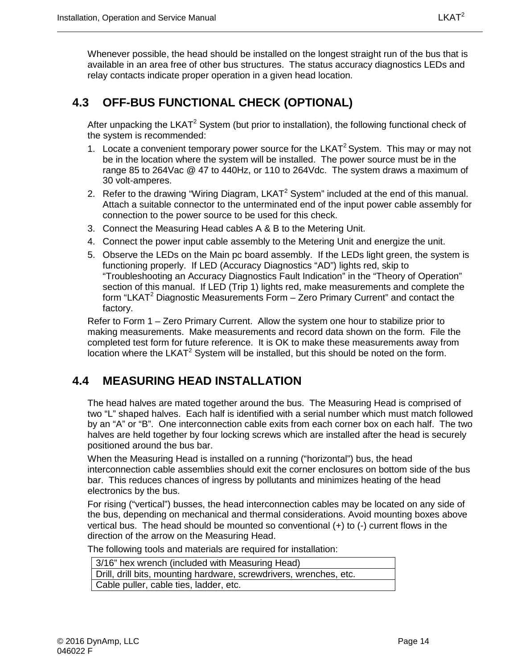Whenever possible, the head should be installed on the longest straight run of the bus that is available in an area free of other bus structures. The status accuracy diagnostics LEDs and relay contacts indicate proper operation in a given head location.

### <span id="page-25-0"></span>**4.3 OFF-BUS FUNCTIONAL CHECK (OPTIONAL)**

After unpacking the LKAT<sup>2</sup> System (but prior to installation), the following functional check of the system is recommended:

- 1. Locate a convenient temporary power source for the LKAT<sup>2</sup> System. This may or may not be in the location where the system will be installed. The power source must be in the range 85 to 264Vac @ 47 to 440Hz, or 110 to 264Vdc. The system draws a maximum of 30 volt-amperes.
- 2. Refer to the drawing "Wiring Diagram, LKAT<sup>2</sup> System" included at the end of this manual. Attach a suitable connector to the unterminated end of the input power cable assembly for connection to the power source to be used for this check.
- 3. Connect the Measuring Head cables A & B to the Metering Unit.
- 4. Connect the power input cable assembly to the Metering Unit and energize the unit.
- 5. Observe the LEDs on the Main pc board assembly. If the LEDs light green, the system is functioning properly. If LED (Accuracy Diagnostics "AD") lights red, skip to "Troubleshooting an Accuracy Diagnostics Fault Indication" in the "Theory of Operation" section of this manual. If LED (Trip 1) lights red, make measurements and complete the form "LKAT<sup>2</sup> Diagnostic Measurements Form  $-$  Zero Primary Current" and contact the factory.

Refer to Form 1 – Zero Primary Current. Allow the system one hour to stabilize prior to making measurements. Make measurements and record data shown on the form. File the completed test form for future reference. It is OK to make these measurements away from location where the LKAT<sup>2</sup> System will be installed, but this should be noted on the form.

### <span id="page-25-1"></span>**4.4 MEASURING HEAD INSTALLATION**

The head halves are mated together around the bus. The Measuring Head is comprised of two "L" shaped halves. Each half is identified with a serial number which must match followed by an "A" or "B". One interconnection cable exits from each corner box on each half. The two halves are held together by four locking screws which are installed after the head is securely positioned around the bus bar.

When the Measuring Head is installed on a running ("horizontal") bus, the head interconnection cable assemblies should exit the corner enclosures on bottom side of the bus bar. This reduces chances of ingress by pollutants and minimizes heating of the head electronics by the bus.

For rising ("vertical") busses, the head interconnection cables may be located on any side of the bus, depending on mechanical and thermal considerations. Avoid mounting boxes above vertical bus. The head should be mounted so conventional (+) to (-) current flows in the direction of the arrow on the Measuring Head.

The following tools and materials are required for installation:

| 3/16" hex wrench (included with Measuring Head)                    |
|--------------------------------------------------------------------|
| Drill, drill bits, mounting hardware, screwdrivers, wrenches, etc. |
| Cable puller, cable ties, ladder, etc.                             |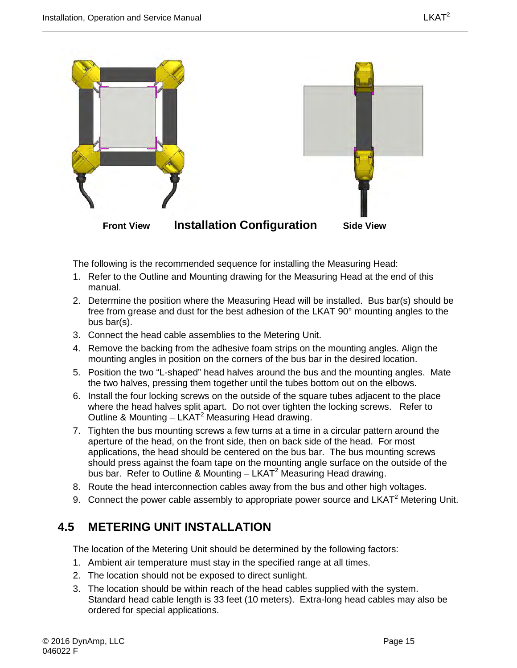

The following is the recommended sequence for installing the Measuring Head:

- 1. Refer to the Outline and Mounting drawing for the Measuring Head at the end of this manual.
- 2. Determine the position where the Measuring Head will be installed. Bus bar(s) should be free from grease and dust for the best adhesion of the LKAT 90° mounting angles to the bus bar(s).
- 3. Connect the head cable assemblies to the Metering Unit.
- 4. Remove the backing from the adhesive foam strips on the mounting angles. Align the mounting angles in position on the corners of the bus bar in the desired location.
- 5. Position the two "L-shaped" head halves around the bus and the mounting angles. Mate the two halves, pressing them together until the tubes bottom out on the elbows.
- 6. Install the four locking screws on the outside of the square tubes adjacent to the place where the head halves split apart. Do not over tighten the locking screws. Refer to Outline & Mounting  $-$  LKAT<sup>2</sup> Measuring Head drawing.
- 7. Tighten the bus mounting screws a few turns at a time in a circular pattern around the aperture of the head, on the front side, then on back side of the head. For most applications, the head should be centered on the bus bar. The bus mounting screws should press against the foam tape on the mounting angle surface on the outside of the bus bar. Refer to Outline & Mounting  $-$  LKAT<sup>2</sup> Measuring Head drawing.
- 8. Route the head interconnection cables away from the bus and other high voltages.
- 9. Connect the power cable assembly to appropriate power source and LKAT<sup>2</sup> Metering Unit.

## <span id="page-26-0"></span>**4.5 METERING UNIT INSTALLATION**

The location of the Metering Unit should be determined by the following factors:

- 1. Ambient air temperature must stay in the specified range at all times.
- 2. The location should not be exposed to direct sunlight.
- 3. The location should be within reach of the head cables supplied with the system. Standard head cable length is 33 feet (10 meters). Extra-long head cables may also be ordered for special applications.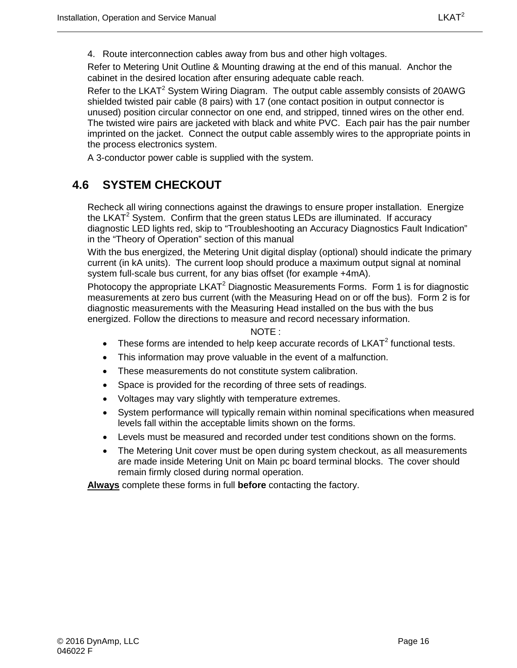4. Route interconnection cables away from bus and other high voltages.

Refer to Metering Unit Outline & Mounting drawing at the end of this manual. Anchor the cabinet in the desired location after ensuring adequate cable reach.

Refer to the LKAT<sup>2</sup> System Wiring Diagram. The output cable assembly consists of 20AWG shielded twisted pair cable (8 pairs) with 17 (one contact position in output connector is unused) position circular connector on one end, and stripped, tinned wires on the other end. The twisted wire pairs are jacketed with black and white PVC. Each pair has the pair number imprinted on the jacket. Connect the output cable assembly wires to the appropriate points in the process electronics system.

A 3-conductor power cable is supplied with the system.

## <span id="page-27-0"></span>**4.6 SYSTEM CHECKOUT**

Recheck all wiring connections against the drawings to ensure proper installation. Energize the LKAT<sup>2</sup> System. Confirm that the green status LEDs are illuminated. If accuracy diagnostic LED lights red, skip to "Troubleshooting an Accuracy Diagnostics Fault Indication" in the "Theory of Operation" section of this manual

With the bus energized, the Metering Unit digital display (optional) should indicate the primary current (in kA units). The current loop should produce a maximum output signal at nominal system full-scale bus current, for any bias offset (for example +4mA).

Photocopy the appropriate LKAT<sup>2</sup> Diagnostic Measurements Forms. Form 1 is for diagnostic measurements at zero bus current (with the Measuring Head on or off the bus). Form 2 is for diagnostic measurements with the Measuring Head installed on the bus with the bus energized. Follow the directions to measure and record necessary information.

#### NOTE :

- These forms are intended to help keep accurate records of  $LKAT^2$  functional tests.
- This information may prove valuable in the event of a malfunction.
- These measurements do not constitute system calibration.
- Space is provided for the recording of three sets of readings.
- Voltages may vary slightly with temperature extremes.
- System performance will typically remain within nominal specifications when measured levels fall within the acceptable limits shown on the forms.
- Levels must be measured and recorded under test conditions shown on the forms.
- The Metering Unit cover must be open during system checkout, as all measurements are made inside Metering Unit on Main pc board terminal blocks. The cover should remain firmly closed during normal operation.

**Always** complete these forms in full **before** contacting the factory.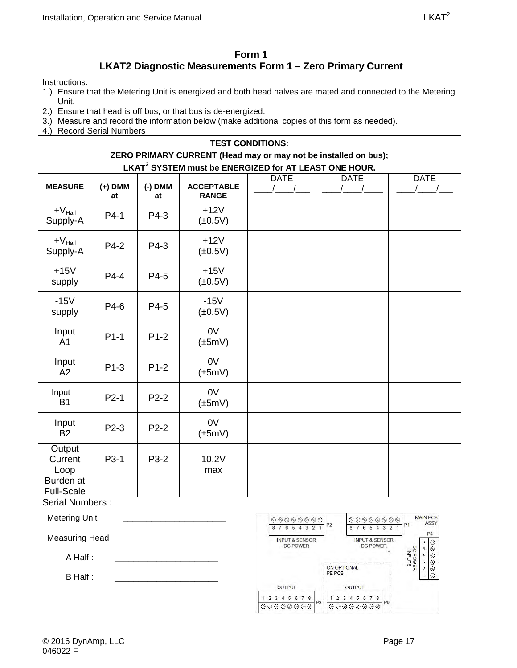#### **Form 1 LKAT2 Diagnostic Measurements Form 1 – Zero Primary Current**

#### <span id="page-28-0"></span>Instructions:

- 1.) Ensure that the Metering Unit is energized and both head halves are mated and connected to the Metering Unit.
- 2.) Ensure that head is off bus, or that bus is de-energized.
- 3.) Measure and record the information below (make additional copies of this form as needed).
- 4.) Record Serial Numbers

#### **TEST CONDITIONS:**

#### **ZERO PRIMARY CURRENT (Head may or may not be installed on bus);**

#### **LKAT<sup>2</sup> SYSTEM must be ENERGIZED for AT LEAST ONE HOUR.**

| <b>MEASURE</b>                                              | $(+)$ DMM<br>at | $(-)$ DMM<br>at | <b>ACCEPTABLE</b><br><b>RANGE</b> | <b>DATE</b> | <b>DATE</b> | <b>DATE</b> |
|-------------------------------------------------------------|-----------------|-----------------|-----------------------------------|-------------|-------------|-------------|
| $+V_{\text{Hall}}$<br>Supply-A                              | $P4-1$          | P4-3            | $+12V$<br>$(\pm 0.5V)$            |             |             |             |
| $+V_{\text{Hall}}$<br>Supply-A                              | P4-2            | P4-3            | $+12V$<br>$(\pm 0.5V)$            |             |             |             |
| $+15V$<br>supply                                            | $P4-4$          | P4-5            | $+15V$<br>$(\pm 0.5V)$            |             |             |             |
| $-15V$<br>supply                                            | P4-6            | P4-5            | $-15V$<br>$(\pm 0.5V)$            |             |             |             |
| Input<br>A1                                                 | $P1-1$          | $P1-2$          | 0V<br>$(\pm 5mV)$                 |             |             |             |
| Input<br>A2                                                 | $P1-3$          | $P1-2$          | 0V<br>$(\pm 5mV)$                 |             |             |             |
| Input<br><b>B1</b>                                          | $P2-1$          | $P2-2$          | 0V<br>$(\pm 5mV)$                 |             |             |             |
| Input<br><b>B2</b>                                          | P2-3            | $P2-2$          | 0V<br>$(\pm 5mV)$                 |             |             |             |
| Output<br>Current<br>Loop<br>Burden at<br><b>Full-Scale</b> | P3-1            | P3-2            | 10.2V<br>max                      |             |             |             |

Serial Numbers :

Metering Unit

Measuring Head

 $A$  Half :

 $B$  Half :

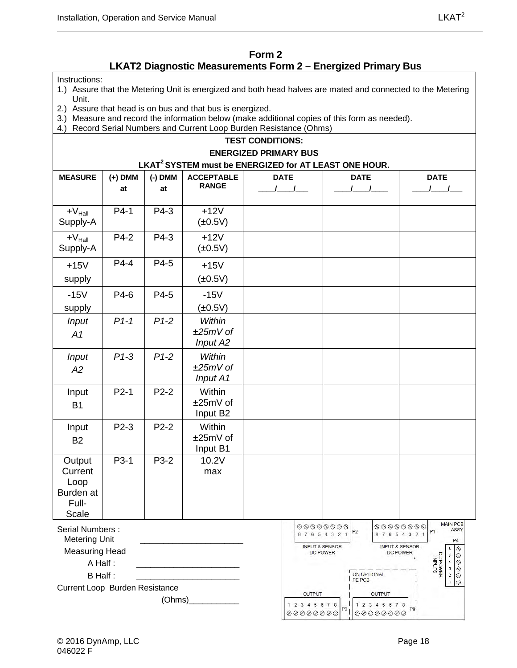#### **Form 2 LKAT2 Diagnostic Measurements Form 2 – Energized Primary Bus**

#### <span id="page-29-0"></span>Instructions:

- 1.) Assure that the Metering Unit is energized and both head halves are mated and connected to the Metering Unit.
- 2.) Assure that head is on bus and that bus is energized.
- 3.) Measure and record the information below (make additional copies of this form as needed).
- 4.) Record Serial Numbers and Current Loop Burden Resistance (Ohms)

#### **TEST CONDITIONS: ENERGIZED PRIMARY BUS**

| LKAT <sup>2</sup> SYSTEM must be ENERGIZED for AT LEAST ONE HOUR.            |                 |                 |                                                                                                                                                                                                                                                                                                                                                                                                                    |                                                                                                                                                                                                                                                                                                                                                                                                          |                                                                                                                                                                                       |                                                   |                           |  |
|------------------------------------------------------------------------------|-----------------|-----------------|--------------------------------------------------------------------------------------------------------------------------------------------------------------------------------------------------------------------------------------------------------------------------------------------------------------------------------------------------------------------------------------------------------------------|----------------------------------------------------------------------------------------------------------------------------------------------------------------------------------------------------------------------------------------------------------------------------------------------------------------------------------------------------------------------------------------------------------|---------------------------------------------------------------------------------------------------------------------------------------------------------------------------------------|---------------------------------------------------|---------------------------|--|
| <b>MEASURE</b>                                                               | $(+)$ DMM<br>at | $(-)$ DMM<br>at | <b>ACCEPTABLE</b><br><b>RANGE</b>                                                                                                                                                                                                                                                                                                                                                                                  | <b>DATE</b><br>$\sqrt{1}$                                                                                                                                                                                                                                                                                                                                                                                | <b>DATE</b><br>$\sqrt{ }$                                                                                                                                                             |                                                   | <b>DATE</b><br>$\sqrt{1}$ |  |
| $+V_{\text{Hall}}$<br>Supply-A                                               | $P4-1$          | P4-3            | $+12V$<br>$(\pm 0.5V)$                                                                                                                                                                                                                                                                                                                                                                                             |                                                                                                                                                                                                                                                                                                                                                                                                          |                                                                                                                                                                                       |                                                   |                           |  |
| $+V_{\text{Hall}}$<br>Supply-A                                               | P4-2            | P4-3            | $+12V$<br>$(\pm 0.5V)$                                                                                                                                                                                                                                                                                                                                                                                             |                                                                                                                                                                                                                                                                                                                                                                                                          |                                                                                                                                                                                       |                                                   |                           |  |
| $+15V$<br>supply                                                             | P4-4            | P4-5            | $+15V$<br>$(\pm 0.5V)$                                                                                                                                                                                                                                                                                                                                                                                             |                                                                                                                                                                                                                                                                                                                                                                                                          |                                                                                                                                                                                       |                                                   |                           |  |
| $-15V$<br>supply                                                             | P4-6            | P4-5            | $-15V$<br>$(\pm 0.5V)$                                                                                                                                                                                                                                                                                                                                                                                             |                                                                                                                                                                                                                                                                                                                                                                                                          |                                                                                                                                                                                       |                                                   |                           |  |
| <b>Input</b><br>A1                                                           | $P1-1$          | $P1-2$          | Within<br>±25mV of<br><b>Input A2</b>                                                                                                                                                                                                                                                                                                                                                                              |                                                                                                                                                                                                                                                                                                                                                                                                          |                                                                                                                                                                                       |                                                   |                           |  |
| <b>Input</b><br>A2                                                           | $P1-3$          | $P1-2$          | Within<br>±25mV of<br>Input A1                                                                                                                                                                                                                                                                                                                                                                                     |                                                                                                                                                                                                                                                                                                                                                                                                          |                                                                                                                                                                                       |                                                   |                           |  |
| Input<br><b>B1</b>                                                           | $P2-1$          | P2-2            | Within<br>±25mV of<br>Input B <sub>2</sub>                                                                                                                                                                                                                                                                                                                                                                         |                                                                                                                                                                                                                                                                                                                                                                                                          |                                                                                                                                                                                       |                                                   |                           |  |
| Input<br><b>B2</b>                                                           | P2-3            | $P2-2$          | Within<br>±25mV of<br>Input B1                                                                                                                                                                                                                                                                                                                                                                                     |                                                                                                                                                                                                                                                                                                                                                                                                          |                                                                                                                                                                                       |                                                   |                           |  |
| Output<br>Current<br>Loop<br>Burden at<br>Full-<br>Scale                     | P3-1            | P3-2            | 10.2V<br>max                                                                                                                                                                                                                                                                                                                                                                                                       |                                                                                                                                                                                                                                                                                                                                                                                                          |                                                                                                                                                                                       |                                                   |                           |  |
| Serial Numbers :<br><b>Metering Unit</b><br><b>Measuring Head</b><br>A Half: |                 |                 | $\begin{picture}(160,170) \put(0,0){\line(1,0){100}} \put(10,0){\line(1,0){100}} \put(10,0){\line(1,0){100}} \put(10,0){\line(1,0){100}} \put(10,0){\line(1,0){100}} \put(10,0){\line(1,0){100}} \put(10,0){\line(1,0){100}} \put(10,0){\line(1,0){100}} \put(10,0){\line(1,0){100}} \put(10,0){\line(1,0){100}} \put(10,0){\line(1,0){100$<br>P <sub>2</sub><br>87654321<br><b>INPUT &amp; SENSOR</b><br>DC POWER | $\begin{picture}(160,10) \put(0,0){\line(1,0){10}} \put(10,0){\line(1,0){10}} \put(10,0){\line(1,0){10}} \put(10,0){\line(1,0){10}} \put(10,0){\line(1,0){10}} \put(10,0){\line(1,0){10}} \put(10,0){\line(1,0){10}} \put(10,0){\line(1,0){10}} \put(10,0){\line(1,0){10}} \put(10,0){\line(1,0){10}} \put(10,0){\line(1,0){10}} \put(10,0){\line($<br>87654321<br><b>INPUT &amp; SENSOR</b><br>DC POWER | <b>MAIN PCB</b><br><b>ASSY</b><br>P <sub>1</sub><br>P <sub>4</sub><br>◎<br>$\mathbf 6$<br>DC POWER<br>INPUTS<br>$5\,$<br>◎<br>$\overline{A}$<br>Ø<br>$\mathfrak{Z}$<br>$\circledcirc$ |                                                   |                           |  |
| B Half:<br>Current Loop Burden Resistance<br>(Ohms)                          |                 |                 |                                                                                                                                                                                                                                                                                                                                                                                                                    | ON OPTIONAL<br>PE PCB<br><b>OUTPUT</b>                                                                                                                                                                                                                                                                                                                                                                   | OUTPUT                                                                                                                                                                                | $\sqrt{2}$<br>$\circledcirc$<br>Ø<br>$\mathbf{1}$ |                           |  |
|                                                                              |                 |                 |                                                                                                                                                                                                                                                                                                                                                                                                                    |                                                                                                                                                                                                                                                                                                                                                                                                          | 2 3 4 5 6 7 8<br>00000000                                                                                                                                                             | 1 2 3 4 5 6 7<br>P9 <sub>1</sub><br>00000000      |                           |  |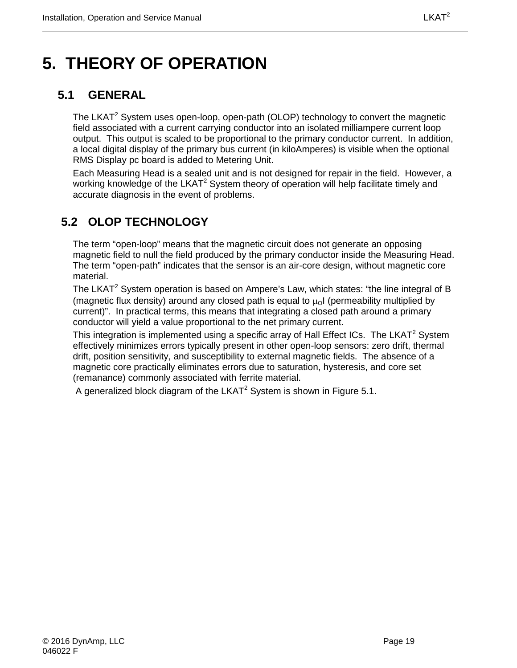## <span id="page-30-0"></span>**5. THEORY OF OPERATION**

## <span id="page-30-1"></span>**5.1 GENERAL**

The LKAT<sup>2</sup> System uses open-loop, open-path (OLOP) technology to convert the magnetic field associated with a current carrying conductor into an isolated milliampere current loop output. This output is scaled to be proportional to the primary conductor current. In addition, a local digital display of the primary bus current (in kiloAmperes) is visible when the optional RMS Display pc board is added to Metering Unit.

Each Measuring Head is a sealed unit and is not designed for repair in the field. However, a working knowledge of the LKAT<sup>2</sup> System theory of operation will help facilitate timely and accurate diagnosis in the event of problems.

## <span id="page-30-2"></span> **5.2 OLOP TECHNOLOGY**

The term "open-loop" means that the magnetic circuit does not generate an opposing magnetic field to null the field produced by the primary conductor inside the Measuring Head. The term "open-path" indicates that the sensor is an air-core design, without magnetic core material.

The LKAT<sup>2</sup> System operation is based on Ampere's Law, which states: "the line integral of B (magnetic flux density) around any closed path is equal to  $\mu_0$  (permeability multiplied by current)". In practical terms, this means that integrating a closed path around a primary conductor will yield a value proportional to the net primary current.

This integration is implemented using a specific array of Hall Effect ICs. The LKAT<sup>2</sup> System effectively minimizes errors typically present in other open-loop sensors: zero drift, thermal drift, position sensitivity, and susceptibility to external magnetic fields. The absence of a magnetic core practically eliminates errors due to saturation, hysteresis, and core set (remanance) commonly associated with ferrite material.

A generalized block diagram of the LKAT<sup>2</sup> System is shown in Figure 5.1.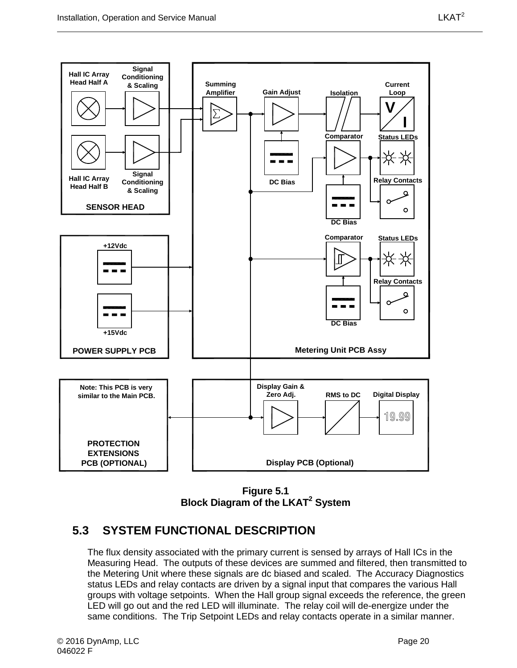

**Figure 5.1 Block Diagram of the LKAT2 System**

## <span id="page-31-1"></span><span id="page-31-0"></span>**5.3 SYSTEM FUNCTIONAL DESCRIPTION**

The flux density associated with the primary current is sensed by arrays of Hall ICs in the Measuring Head. The outputs of these devices are summed and filtered, then transmitted to the Metering Unit where these signals are dc biased and scaled. The Accuracy Diagnostics status LEDs and relay contacts are driven by a signal input that compares the various Hall groups with voltage setpoints. When the Hall group signal exceeds the reference, the green LED will go out and the red LED will illuminate. The relay coil will de-energize under the same conditions. The Trip Setpoint LEDs and relay contacts operate in a similar manner.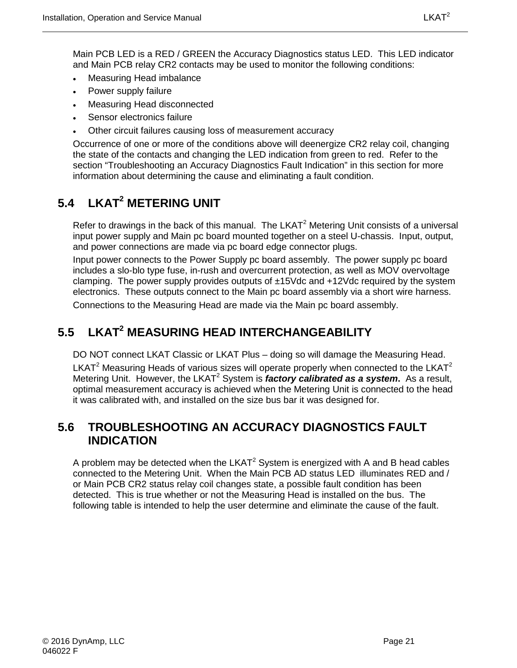Main PCB LED is a RED / GREEN the Accuracy Diagnostics status LED. This LED indicator and Main PCB relay CR2 contacts may be used to monitor the following conditions:

- Measuring Head imbalance
- Power supply failure
- Measuring Head disconnected
- Sensor electronics failure
- Other circuit failures causing loss of measurement accuracy

Occurrence of one or more of the conditions above will deenergize CR2 relay coil, changing the state of the contacts and changing the LED indication from green to red. Refer to the section "Troubleshooting an Accuracy Diagnostics Fault Indication" in this section for more information about determining the cause and eliminating a fault condition.

## <span id="page-32-0"></span>**5.4 LKAT2 METERING UNIT**

Refer to drawings in the back of this manual. The LKAT<sup>2</sup> Metering Unit consists of a universal input power supply and Main pc board mounted together on a steel U-chassis. Input, output, and power connections are made via pc board edge connector plugs.

Input power connects to the Power Supply pc board assembly. The power supply pc board includes a slo-blo type fuse, in-rush and overcurrent protection, as well as MOV overvoltage clamping. The power supply provides outputs of  $\pm$ 15Vdc and  $+12$ Vdc required by the system electronics. These outputs connect to the Main pc board assembly via a short wire harness. Connections to the Measuring Head are made via the Main pc board assembly.

## <span id="page-32-1"></span>**5.5 LKAT2 MEASURING HEAD INTERCHANGEABILITY**

DO NOT connect LKAT Classic or LKAT Plus – doing so will damage the Measuring Head. LKAT<sup>2</sup> Measuring Heads of various sizes will operate properly when connected to the LKAT<sup>2</sup> Metering Unit. However, the LKAT<sup>2</sup> System is *factory calibrated as a system*. As a result, optimal measurement accuracy is achieved when the Metering Unit is connected to the head it was calibrated with, and installed on the size bus bar it was designed for.

### <span id="page-32-2"></span>**5.6 TROUBLESHOOTING AN ACCURACY DIAGNOSTICS FAULT INDICATION**

A problem may be detected when the LKAT<sup>2</sup> System is energized with A and B head cables connected to the Metering Unit. When the Main PCB AD status LED illuminates RED and / or Main PCB CR2 status relay coil changes state, a possible fault condition has been detected. This is true whether or not the Measuring Head is installed on the bus. The following table is intended to help the user determine and eliminate the cause of the fault.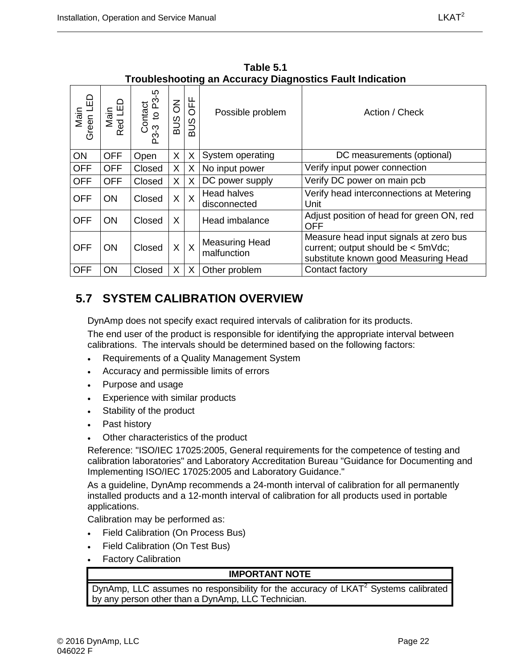<span id="page-33-1"></span>

| Houbleshooting an Accuracy Diagnosites Fault Indication |                 |                                   |                       |                         |                                      |                                                                                                                      |
|---------------------------------------------------------|-----------------|-----------------------------------|-----------------------|-------------------------|--------------------------------------|----------------------------------------------------------------------------------------------------------------------|
| Main<br>Green LED                                       | Main<br>Red LED | Contact<br>-3 to P3-5<br>ကု<br>ည် | $\overline{6}$<br>SUS | OFF<br>SUS              | Possible problem                     | Action / Check                                                                                                       |
| ON                                                      | <b>OFF</b>      | Open                              | X                     | X                       | System operating                     | DC measurements (optional)                                                                                           |
| <b>OFF</b>                                              | <b>OFF</b>      | Closed                            | X                     | X                       | No input power                       | Verify input power connection                                                                                        |
| <b>OFF</b>                                              | <b>OFF</b>      | Closed                            | X                     | X                       | DC power supply                      | Verify DC power on main pcb                                                                                          |
| <b>OFF</b>                                              | ON              | Closed                            | $\mathsf{X}$          | $\overline{\mathsf{X}}$ | Head halves<br>disconnected          | Verify head interconnections at Metering<br>Unit                                                                     |
| <b>OFF</b>                                              | <b>ON</b>       | Closed                            | X                     |                         | Head imbalance                       | Adjust position of head for green ON, red<br><b>OFF</b>                                                              |
| <b>OFF</b>                                              | <b>ON</b>       | Closed                            | X                     | $\sf X$                 | <b>Measuring Head</b><br>malfunction | Measure head input signals at zero bus<br>current; output should be < 5mVdc;<br>substitute known good Measuring Head |
| <b>OFF</b>                                              | ON              | Closed                            | X                     | X                       | Other problem                        | Contact factory                                                                                                      |

**Table 5.1 Troubleshooting an Accuracy Diagnostics Fault Indication** 

## <span id="page-33-0"></span> **5.7 SYSTEM CALIBRATION OVERVIEW**

DynAmp does not specify exact required intervals of calibration for its products.

The end user of the product is responsible for identifying the appropriate interval between calibrations. The intervals should be determined based on the following factors:

- Requirements of a Quality Management System
- Accuracy and permissible limits of errors
- Purpose and usage
- Experience with similar products
- Stability of the product
- Past history
- Other characteristics of the product

Reference: "ISO/IEC 17025:2005, General requirements for the competence of testing and calibration laboratories" and Laboratory Accreditation Bureau "Guidance for Documenting and Implementing ISO/IEC 17025:2005 and Laboratory Guidance."

As a guideline, DynAmp recommends a 24-month interval of calibration for all permanently installed products and a 12-month interval of calibration for all products used in portable applications.

Calibration may be performed as:

- Field Calibration (On Process Bus)
- Field Calibration (On Test Bus)
- Factory Calibration

#### **IMPORTANT NOTE**

DynAmp, LLC assumes no responsibility for the accuracy of LKAT<sup>2</sup> Systems calibrated by any person other than a DynAmp, LLC Technician.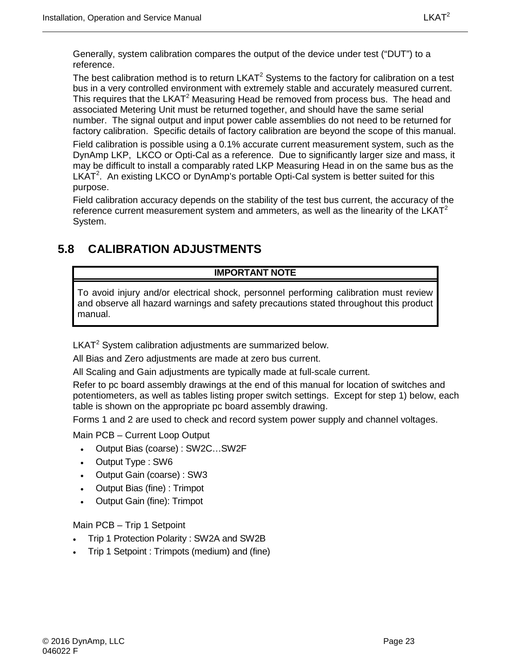Generally, system calibration compares the output of the device under test ("DUT") to a reference.

The best calibration method is to return  $LKAT<sup>2</sup>$  Systems to the factory for calibration on a test bus in a very controlled environment with extremely stable and accurately measured current. This requires that the LKAT<sup>2</sup> Measuring Head be removed from process bus. The head and associated Metering Unit must be returned together, and should have the same serial number. The signal output and input power cable assemblies do not need to be returned for factory calibration. Specific details of factory calibration are beyond the scope of this manual.

Field calibration is possible using a 0.1% accurate current measurement system, such as the DynAmp LKP, LKCO or Opti-Cal as a reference. Due to significantly larger size and mass, it may be difficult to install a comparably rated LKP Measuring Head in on the same bus as the LKAT<sup>2</sup>. An existing LKCO or DynAmp's portable Opti-Cal system is better suited for this purpose.

Field calibration accuracy depends on the stability of the test bus current, the accuracy of the reference current measurement system and ammeters, as well as the linearity of the  $LKAT<sup>2</sup>$ System.

## <span id="page-34-0"></span>**5.8 CALIBRATION ADJUSTMENTS**

#### **IMPORTANT NOTE**

To avoid injury and/or electrical shock, personnel performing calibration must review and observe all hazard warnings and safety precautions stated throughout this product manual.

LKAT<sup>2</sup> System calibration adjustments are summarized below.

All Bias and Zero adjustments are made at zero bus current.

All Scaling and Gain adjustments are typically made at full-scale current.

Refer to pc board assembly drawings at the end of this manual for location of switches and potentiometers, as well as tables listing proper switch settings. Except for step 1) below, each table is shown on the appropriate pc board assembly drawing.

Forms 1 and 2 are used to check and record system power supply and channel voltages.

Main PCB – Current Loop Output

- Output Bias (coarse) : SW2C…SW2F
- Output Type : SW6
- Output Gain (coarse) : SW3
- Output Bias (fine) : Trimpot
- Output Gain (fine): Trimpot

Main PCB – Trip 1 Setpoint

- Trip 1 Protection Polarity : SW2A and SW2B
- Trip 1 Setpoint : Trimpots (medium) and (fine)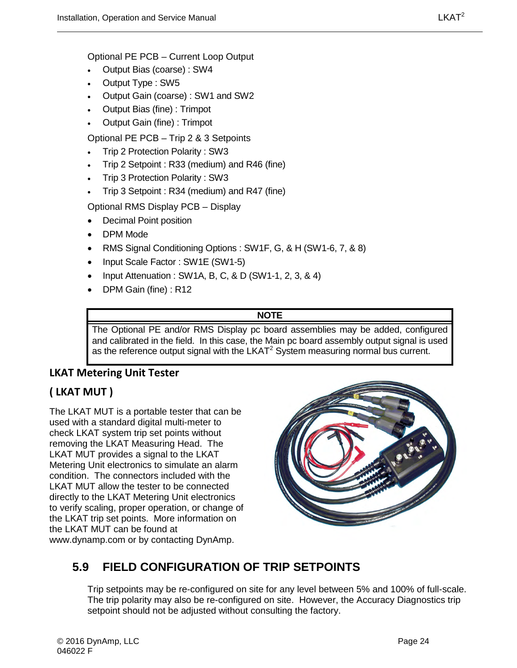Optional PE PCB – Current Loop Output

- Output Bias (coarse) : SW4
- Output Type : SW5
- Output Gain (coarse) : SW1 and SW2
- Output Bias (fine) : Trimpot
- Output Gain (fine) : Trimpot

Optional PE PCB – Trip 2 & 3 Setpoints

- Trip 2 Protection Polarity : SW3
- Trip 2 Setpoint : R33 (medium) and R46 (fine)
- Trip 3 Protection Polarity : SW3
- Trip 3 Setpoint : R34 (medium) and R47 (fine)

Optional RMS Display PCB – Display

- Decimal Point position
- DPM Mode
- RMS Signal Conditioning Options : SW1F, G, & H (SW1-6, 7, & 8)
- Input Scale Factor : SW1E (SW1-5)
- Input Attenuation : SW1A, B, C, & D (SW1-1, 2, 3, & 4)
- DPM Gain (fine) : R12

#### **NOTE**

The Optional PE and/or RMS Display pc board assemblies may be added, configured and calibrated in the field. In this case, the Main pc board assembly output signal is used as the reference output signal with the  $LKAT<sup>2</sup>$  System measuring normal bus current.

#### **LKAT Metering Unit Tester**

### **( LKAT MUT )**

The LKAT MUT is a portable tester that can be used with a standard digital multi-meter to check LKAT system trip set points without removing the LKAT Measuring Head. The LKAT MUT provides a signal to the LKAT Metering Unit electronics to simulate an alarm condition. The connectors included with the LKAT MUT allow the tester to be connected directly to the LKAT Metering Unit electronics to verify scaling, proper operation, or change of the LKAT trip set points. More information on the LKAT MUT can be found at www.dynamp.com or by contacting DynAmp.



## <span id="page-35-0"></span>**5.9 FIELD CONFIGURATION OF TRIP SETPOINTS**

Trip setpoints may be re-configured on site for any level between 5% and 100% of full-scale. The trip polarity may also be re-configured on site. However, the Accuracy Diagnostics trip setpoint should not be adjusted without consulting the factory.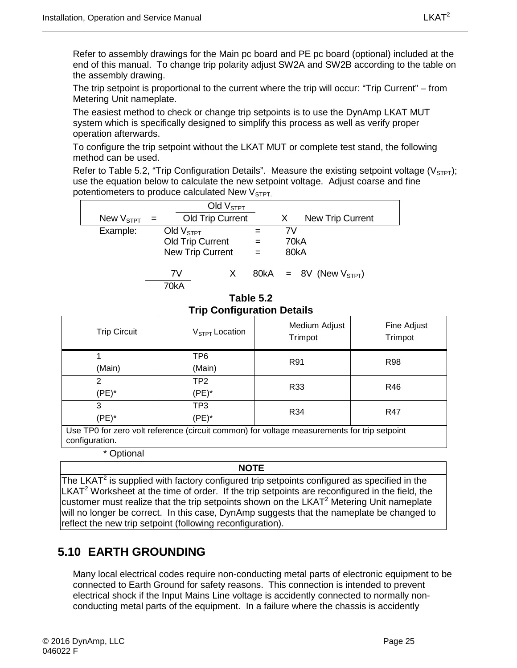Refer to assembly drawings for the Main pc board and PE pc board (optional) included at the end of this manual. To change trip polarity adjust SW2A and SW2B according to the table on the assembly drawing.

The trip setpoint is proportional to the current where the trip will occur: "Trip Current" – from Metering Unit nameplate.

The easiest method to check or change trip setpoints is to use the DynAmp LKAT MUT system which is specifically designed to simplify this process as well as verify proper operation afterwards.

To configure the trip setpoint without the LKAT MUT or complete test stand, the following method can be used.

Refer to Table 5.2, "Trip Configuration Details". Measure the existing setpoint voltage ( $V_{\text{STP}}$ ); use the equation below to calculate the new setpoint voltage. Adjust coarse and fine potentiometers to produce calculated New  $V<sub>STPT</sub>$ .

|                    | Old $VSTPT$                                                |            |                    |                               |
|--------------------|------------------------------------------------------------|------------|--------------------|-------------------------------|
| New $V_{\rm STPT}$ | Old Trip Current                                           |            |                    | New Trip Current              |
| Example:           | Old $VSTPT$<br>Old Trip Current<br><b>New Trip Current</b> | $=$<br>$=$ | 7V<br>70kA<br>80kA |                               |
|                    | 7V<br>X<br>70kA                                            |            |                    | 80kA = $8V$ (New $V_{STPT}$ ) |

#### **Table 5.2 Trip Configuration Details**

<span id="page-36-1"></span>

|                                                                                             | ີ                   |                          |                        |  |
|---------------------------------------------------------------------------------------------|---------------------|--------------------------|------------------------|--|
| <b>Trip Circuit</b>                                                                         | $V_{STPT}$ Location | Medium Adjust<br>Trimpot | Fine Adjust<br>Trimpot |  |
|                                                                                             | TP6                 | R91                      | <b>R98</b>             |  |
| (Main)                                                                                      | (Main)              |                          |                        |  |
| 2                                                                                           | TP2                 | R33                      | R46                    |  |
| (PE)*                                                                                       | $(PE)^*$            |                          |                        |  |
| 3                                                                                           | TP3                 | R34                      | R47                    |  |
| $(PE)^*$                                                                                    | $(PE)^*$            |                          |                        |  |
| Use TP0 for zero volt reference (circuit common) for voltage measurements for trip setpoint |                     |                          |                        |  |

Use TP0 for zero volt reference (circuit common) for voltage measurements for trip setpoint configuration.

\* Optional

#### **NOTE**

The LKAT $2$  is supplied with factory configured trip setpoints configured as specified in the LKAT<sup>2</sup> Worksheet at the time of order. If the trip setpoints are reconfigured in the field, the customer must realize that the trip setpoints shown on the LKAT<sup>2</sup> Metering Unit nameplate will no longer be correct. In this case, DynAmp suggests that the nameplate be changed to reflect the new trip setpoint (following reconfiguration).

## <span id="page-36-0"></span>**5.10 EARTH GROUNDING**

Many local electrical codes require non-conducting metal parts of electronic equipment to be connected to Earth Ground for safety reasons. This connection is intended to prevent electrical shock if the Input Mains Line voltage is accidently connected to normally nonconducting metal parts of the equipment. In a failure where the chassis is accidently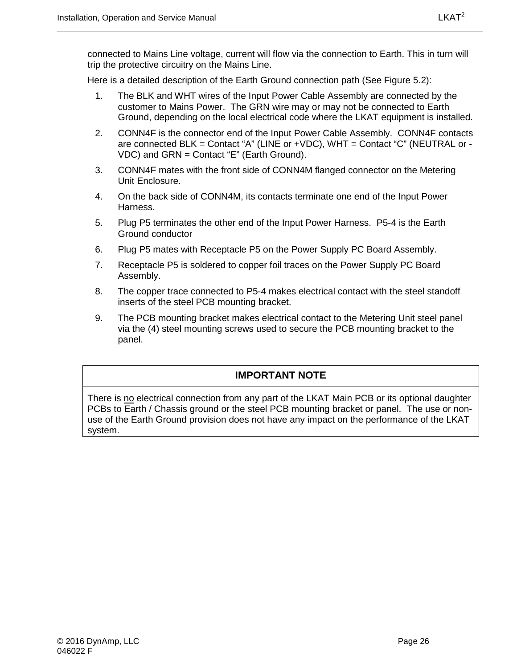connected to Mains Line voltage, current will flow via the connection to Earth. This in turn will trip the protective circuitry on the Mains Line.

Here is a detailed description of the Earth Ground connection path (See Figure 5.2):

- 1. The BLK and WHT wires of the Input Power Cable Assembly are connected by the customer to Mains Power. The GRN wire may or may not be connected to Earth Ground, depending on the local electrical code where the LKAT equipment is installed.
- 2. CONN4F is the connector end of the Input Power Cable Assembly. CONN4F contacts are connected BLK = Contact "A" (LINE or +VDC), WHT = Contact "C" (NEUTRAL or - VDC) and GRN = Contact "E" (Earth Ground).
- 3. CONN4F mates with the front side of CONN4M flanged connector on the Metering Unit Enclosure.
- 4. On the back side of CONN4M, its contacts terminate one end of the Input Power Harness.
- 5. Plug P5 terminates the other end of the Input Power Harness. P5-4 is the Earth Ground conductor
- 6. Plug P5 mates with Receptacle P5 on the Power Supply PC Board Assembly.
- 7. Receptacle P5 is soldered to copper foil traces on the Power Supply PC Board Assembly.
- 8. The copper trace connected to P5-4 makes electrical contact with the steel standoff inserts of the steel PCB mounting bracket.
- 9. The PCB mounting bracket makes electrical contact to the Metering Unit steel panel via the (4) steel mounting screws used to secure the PCB mounting bracket to the panel.

#### **IMPORTANT NOTE**

There is no electrical connection from any part of the LKAT Main PCB or its optional daughter PCBs to Earth / Chassis ground or the steel PCB mounting bracket or panel. The use or nonuse of the Earth Ground provision does not have any impact on the performance of the LKAT system.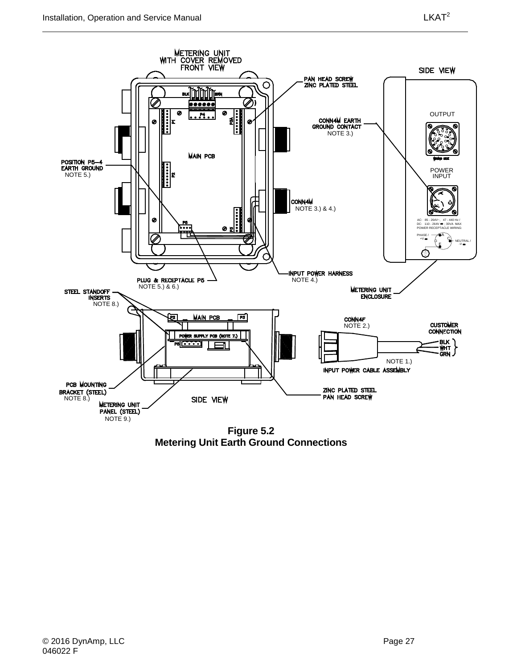

<span id="page-38-0"></span>**Figure 5.2 Metering Unit Earth Ground Connections**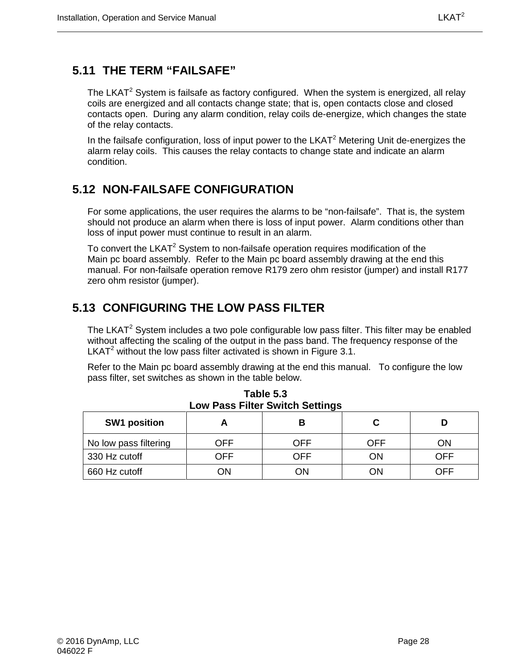## <span id="page-39-0"></span>**5.11 THE TERM "FAILSAFE"**

The LKAT<sup>2</sup> System is failsafe as factory configured. When the system is energized, all relay coils are energized and all contacts change state; that is, open contacts close and closed contacts open. During any alarm condition, relay coils de-energize, which changes the state of the relay contacts.

In the failsafe configuration, loss of input power to the  $LKAT<sup>2</sup>$  Metering Unit de-energizes the alarm relay coils. This causes the relay contacts to change state and indicate an alarm condition.

## <span id="page-39-1"></span>**5.12 NON-FAILSAFE CONFIGURATION**

For some applications, the user requires the alarms to be "non-failsafe". That is, the system should not produce an alarm when there is loss of input power. Alarm conditions other than loss of input power must continue to result in an alarm.

To convert the LKAT<sup>2</sup> System to non-failsafe operation requires modification of the Main pc board assembly. Refer to the Main pc board assembly drawing at the end this manual. For non-failsafe operation remove R179 zero ohm resistor (jumper) and install R177 zero ohm resistor (jumper).

## <span id="page-39-2"></span>**5.13 CONFIGURING THE LOW PASS FILTER**

The LKAT<sup>2</sup> System includes a two pole configurable low pass filter. This filter may be enabled without affecting the scaling of the output in the pass band. The frequency response of the LKAT<sup>2</sup> without the low pass filter activated is shown in Figure 3.1.

Refer to the Main pc board assembly drawing at the end this manual. To configure the low pass filter, set switches as shown in the table below.

<span id="page-39-3"></span>

| <b>SW1 position</b>   |     |     |     |     |
|-----------------------|-----|-----|-----|-----|
| No low pass filtering | OFF | OFF | OFF | ΟN  |
| 330 Hz cutoff         | OFF | OFF | ΟN  | OFF |
| 660 Hz cutoff         | ΟN  | ΟN  | ЭN  | OFF |

**Table 5.3 Low Pass Filter Switch Settings**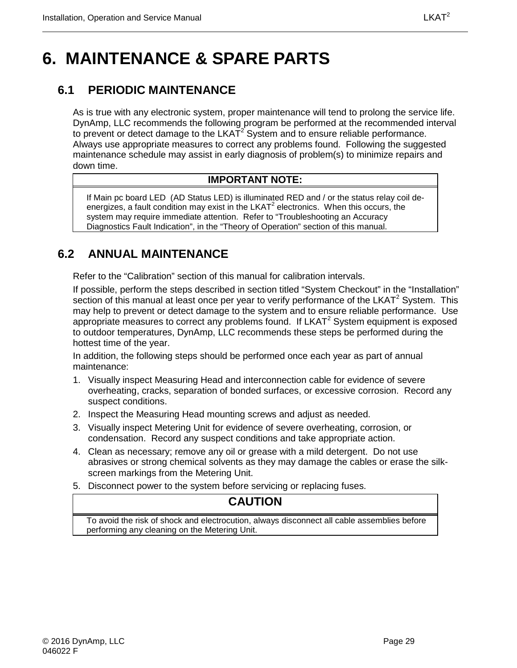## <span id="page-40-0"></span>**6. MAINTENANCE & SPARE PARTS**

## <span id="page-40-1"></span>**6.1 PERIODIC MAINTENANCE**

As is true with any electronic system, proper maintenance will tend to prolong the service life. DynAmp, LLC recommends the following program be performed at the recommended interval to prevent or detect damage to the  $LKAT<sup>2</sup>$  System and to ensure reliable performance. Always use appropriate measures to correct any problems found. Following the suggested maintenance schedule may assist in early diagnosis of problem(s) to minimize repairs and down time.

#### **IMPORTANT NOTE:**

If Main pc board LED (AD Status LED) is illuminated RED and / or the status relay coil deenergizes, a fault condition may exist in the LKAT $<sup>2</sup>$  electronics. When this occurs, the</sup> system may require immediate attention. Refer to "Troubleshooting an Accuracy Diagnostics Fault Indication", in the "Theory of Operation" section of this manual.

## <span id="page-40-2"></span>**6.2 ANNUAL MAINTENANCE**

Refer to the "Calibration" section of this manual for calibration intervals.

If possible, perform the steps described in section titled "System Checkout" in the "Installation" section of this manual at least once per year to verify performance of the LKAT<sup>2</sup> System. This may help to prevent or detect damage to the system and to ensure reliable performance. Use appropriate measures to correct any problems found. If  $LKAT<sup>2</sup>$  System equipment is exposed to outdoor temperatures, DynAmp, LLC recommends these steps be performed during the hottest time of the year.

In addition, the following steps should be performed once each year as part of annual maintenance:

- 1. Visually inspect Measuring Head and interconnection cable for evidence of severe overheating, cracks, separation of bonded surfaces, or excessive corrosion. Record any suspect conditions.
- 2. Inspect the Measuring Head mounting screws and adjust as needed.
- 3. Visually inspect Metering Unit for evidence of severe overheating, corrosion, or condensation. Record any suspect conditions and take appropriate action.
- 4. Clean as necessary; remove any oil or grease with a mild detergent. Do not use abrasives or strong chemical solvents as they may damage the cables or erase the silkscreen markings from the Metering Unit.
- 5. Disconnect power to the system before servicing or replacing fuses.

## **CAUTION**

To avoid the risk of shock and electrocution, always disconnect all cable assemblies before performing any cleaning on the Metering Unit.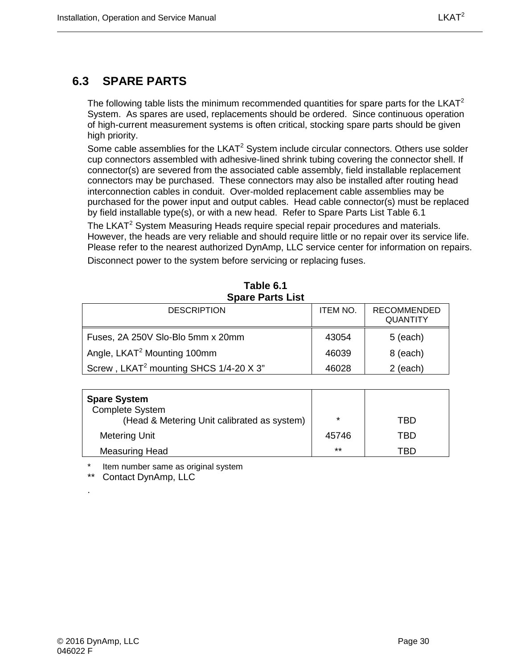## <span id="page-41-0"></span>**6.3 SPARE PARTS**

The following table lists the minimum recommended quantities for spare parts for the  $LKAT^2$ System. As spares are used, replacements should be ordered. Since continuous operation of high-current measurement systems is often critical, stocking spare parts should be given high priority.

Some cable assemblies for the  $LKAT^2$  System include circular connectors. Others use solder cup connectors assembled with adhesive-lined shrink tubing covering the connector shell. If connector(s) are severed from the associated cable assembly, field installable replacement connectors may be purchased. These connectors may also be installed after routing head interconnection cables in conduit. Over-molded replacement cable assemblies may be purchased for the power input and output cables. Head cable connector(s) must be replaced by field installable type(s), or with a new head. Refer to Spare Parts List Table 6.1

The LKAT<sup>2</sup> System Measuring Heads require special repair procedures and materials. However, the heads are very reliable and should require little or no repair over its service life. Please refer to the nearest authorized DynAmp, LLC service center for information on repairs.

Disconnect power to the system before servicing or replacing fuses.

<span id="page-41-1"></span>

| <b>Spare Parts List</b>                            |                 |                                       |
|----------------------------------------------------|-----------------|---------------------------------------|
| <b>DESCRIPTION</b>                                 | <b>ITEM NO.</b> | <b>RECOMMENDED</b><br><b>QUANTITY</b> |
| Fuses, 2A 250V Slo-Blo 5mm x 20mm                  | 43054           | $5$ (each)                            |
| Angle, LKAT <sup>2</sup> Mounting 100mm            | 46039           | 8 (each)                              |
| Screw, LKAT <sup>2</sup> mounting SHCS 1/4-20 X 3" | 46028           | $2$ (each)                            |

#### **Table 6.1 Spare Parts List**

| <b>Spare System</b><br><b>Complete System</b><br>(Head & Metering Unit calibrated as system) | $\star$ | TBD |
|----------------------------------------------------------------------------------------------|---------|-----|
| <b>Metering Unit</b>                                                                         | 45746   | TBD |
| <b>Measuring Head</b>                                                                        | $***$   | TBD |

\* Item number same as original system<br>\*\* Contact DynAmp LLC

Contact DynAmp, LLC

.